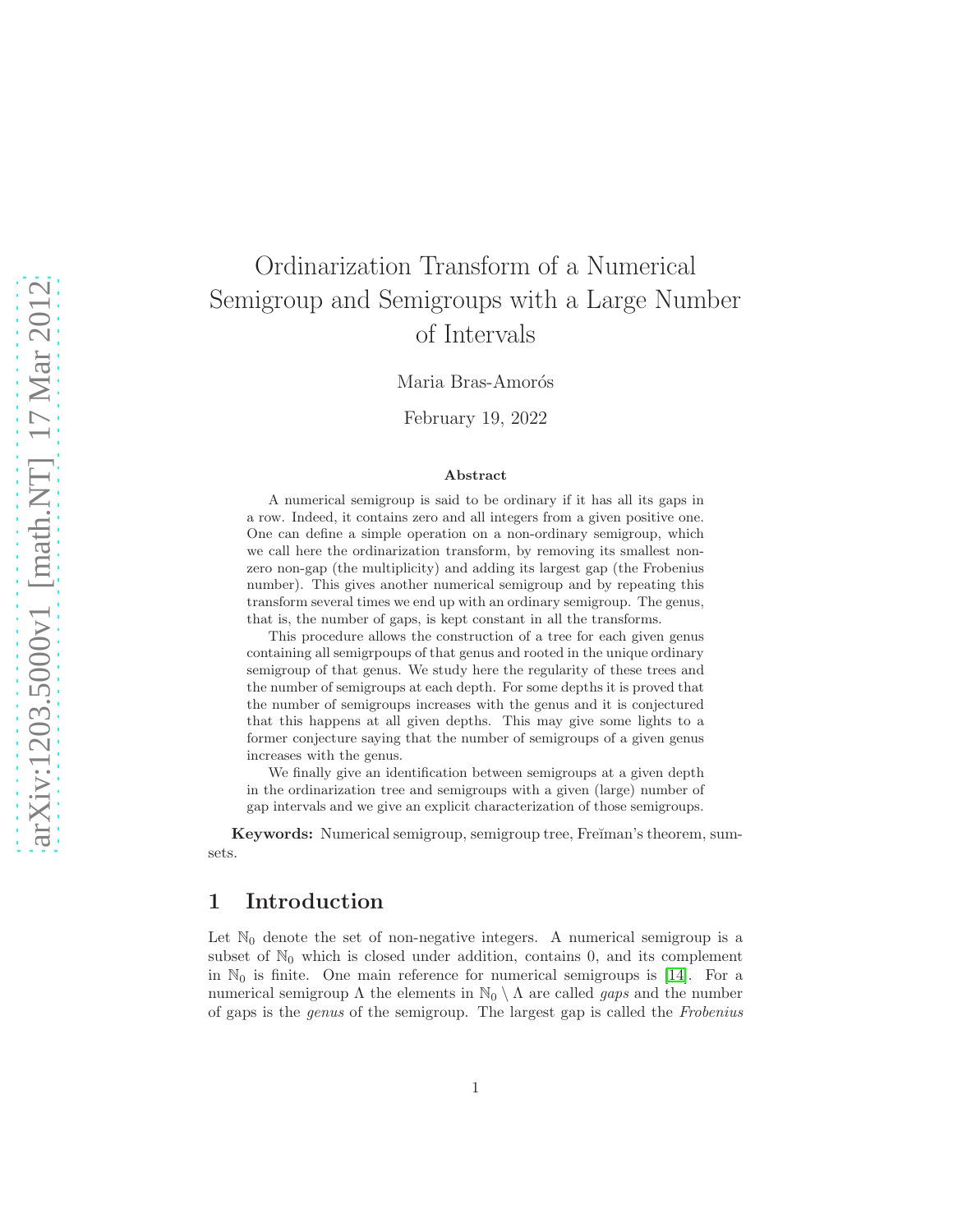# Ordinarization Transform of a Numerical Semigroup and Semigroups with a Large Number of Intervals

Maria Bras-Amorós

February 19, 2022

#### Abstract

A numerical semigroup is said to be ordinary if it has all its gaps in a row. Indeed, it contains zero and all integers from a given positive one. One can define a simple operation on a non-ordinary semigroup, which we call here the ordinarization transform, by removing its smallest nonzero non-gap (the multiplicity) and adding its largest gap (the Frobenius number). This gives another numerical semigroup and by repeating this transform several times we end up with an ordinary semigroup. The genus, that is, the number of gaps, is kept constant in all the transforms.

This procedure allows the construction of a tree for each given genus containing all semigrpoups of that genus and rooted in the unique ordinary semigroup of that genus. We study here the regularity of these trees and the number of semigroups at each depth. For some depths it is proved that the number of semigroups increases with the genus and it is conjectured that this happens at all given depths. This may give some lights to a former conjecture saying that the number of semigroups of a given genus increases with the genus.

We finally give an identification between semigroups at a given depth in the ordinarization tree and semigroups with a given (large) number of gap intervals and we give an explicit characterization of those semigroups.

Keywords: Numerical semigroup, semigroup tree, Fre $\check{\mathbf{r}}$ man's theorem, sumsets.

## 1 Introduction

Let  $\mathbb{N}_0$  denote the set of non-negative integers. A numerical semigroup is a subset of  $\mathbb{N}_0$  which is closed under addition, contains 0, and its complement in  $\mathbb{N}_0$  is finite. One main reference for numerical semigroups is [\[14\]](#page-14-0). For a numerical semigroup Λ the elements in  $\mathbb{N}_0 \setminus \Lambda$  are called *gaps* and the number of gaps is the genus of the semigroup. The largest gap is called the Frobenius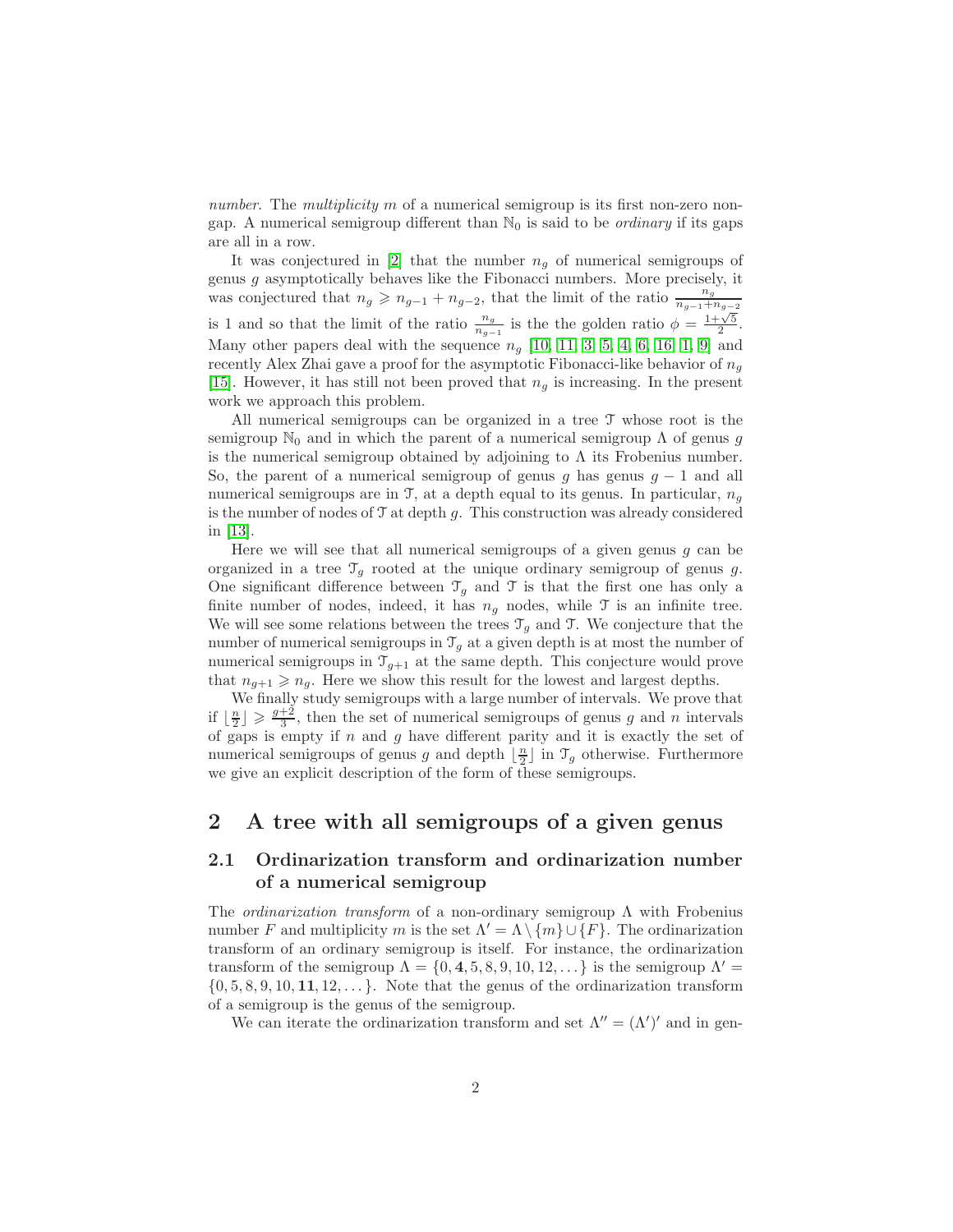number. The multiplicity m of a numerical semigroup is its first non-zero nongap. A numerical semigroup different than  $\mathbb{N}_0$  is said to be *ordinary* if its gaps are all in a row.

It was conjectured in |2| that the number  $n_q$  of numerical semigroups of genus  $g$  asymptotically behaves like the Fibonacci numbers. More precisely, it was conjectured that  $n_g \geqslant n_{g-1} + n_{g-2}$ , that the limit of the ratio  $\frac{n_g}{n_{g-1} + n_{g-2}}$ is 1 and so that the limit of the ratio  $\frac{n_g}{n_{g-1}}$  is the the golden ratio  $\phi = \frac{1+\sqrt{5}}{2}$ . Many other papers deal with the sequence  $n_q$  [\[10,](#page-14-1) [11,](#page-14-2) [3,](#page-11-1) [5,](#page-11-2) [4,](#page-11-3) [6,](#page-14-3) [16,](#page-14-4) [1,](#page-11-4) [9\]](#page-14-5) and recently Alex Zhai gave a proof for the asymptotic Fibonacci-like behavior of  $n_q$ [\[15\]](#page-14-6). However, it has still not been proved that  $n<sub>g</sub>$  is increasing. In the present work we approach this problem.

All numerical semigroups can be organized in a tree T whose root is the semigroup  $\mathbb{N}_0$  and in which the parent of a numerical semigroup  $\Lambda$  of genus g is the numerical semigroup obtained by adjoining to  $\Lambda$  its Frobenius number. So, the parent of a numerical semigroup of genus g has genus  $g - 1$  and all numerical semigroups are in T, at a depth equal to its genus. In particular,  $n_q$ is the number of nodes of  $\mathcal T$  at depth  $g$ . This construction was already considered in [\[13\]](#page-14-7).

Here we will see that all numerical semigroups of a given genus  $g$  can be organized in a tree  $\mathcal{T}_q$  rooted at the unique ordinary semigroup of genus g. One significant difference between  $\mathcal{T}_g$  and T is that the first one has only a finite number of nodes, indeed, it has  $n_q$  nodes, while  $\mathcal T$  is an infinite tree. We will see some relations between the trees  $\mathcal{T}_q$  and T. We conjecture that the number of numerical semigroups in  $\mathcal{T}_q$  at a given depth is at most the number of numerical semigroups in  $\mathcal{T}_{g+1}$  at the same depth. This conjecture would prove that  $n_{g+1} \geqslant n_g$ . Here we show this result for the lowest and largest depths.

We finally study semigroups with a large number of intervals. We prove that if  $\lfloor \frac{n}{2} \rfloor \geqslant \frac{g+2}{3}$ , then the set of numerical semigroups of genus g and n intervals of gaps is empty if  $n$  and  $g$  have different parity and it is exactly the set of numerical semigroups of genus g and depth  $\lfloor \frac{n}{2} \rfloor$  in  $\mathcal{T}_g$  otherwise. Furthermore we give an explicit description of the form of these semigroups.

## 2 A tree with all semigroups of a given genus

#### 2.1 Ordinarization transform and ordinarization number of a numerical semigroup

The *ordinarization transform* of a non-ordinary semigroup  $\Lambda$  with Frobenius number F and multiplicity m is the set  $\Lambda' = \Lambda \setminus \{m\} \cup \{F\}$ . The ordinarization transform of an ordinary semigroup is itself. For instance, the ordinarization transform of the semigroup  $\Lambda = \{0, 4, 5, 8, 9, 10, 12, \ldots\}$  is the semigroup  $\Lambda' =$  $\{0, 5, 8, 9, 10, 11, 12, \ldots\}$ . Note that the genus of the ordinarization transform of a semigroup is the genus of the semigroup.

We can iterate the ordinarization transform and set  $\Lambda'' = (\Lambda')'$  and in gen-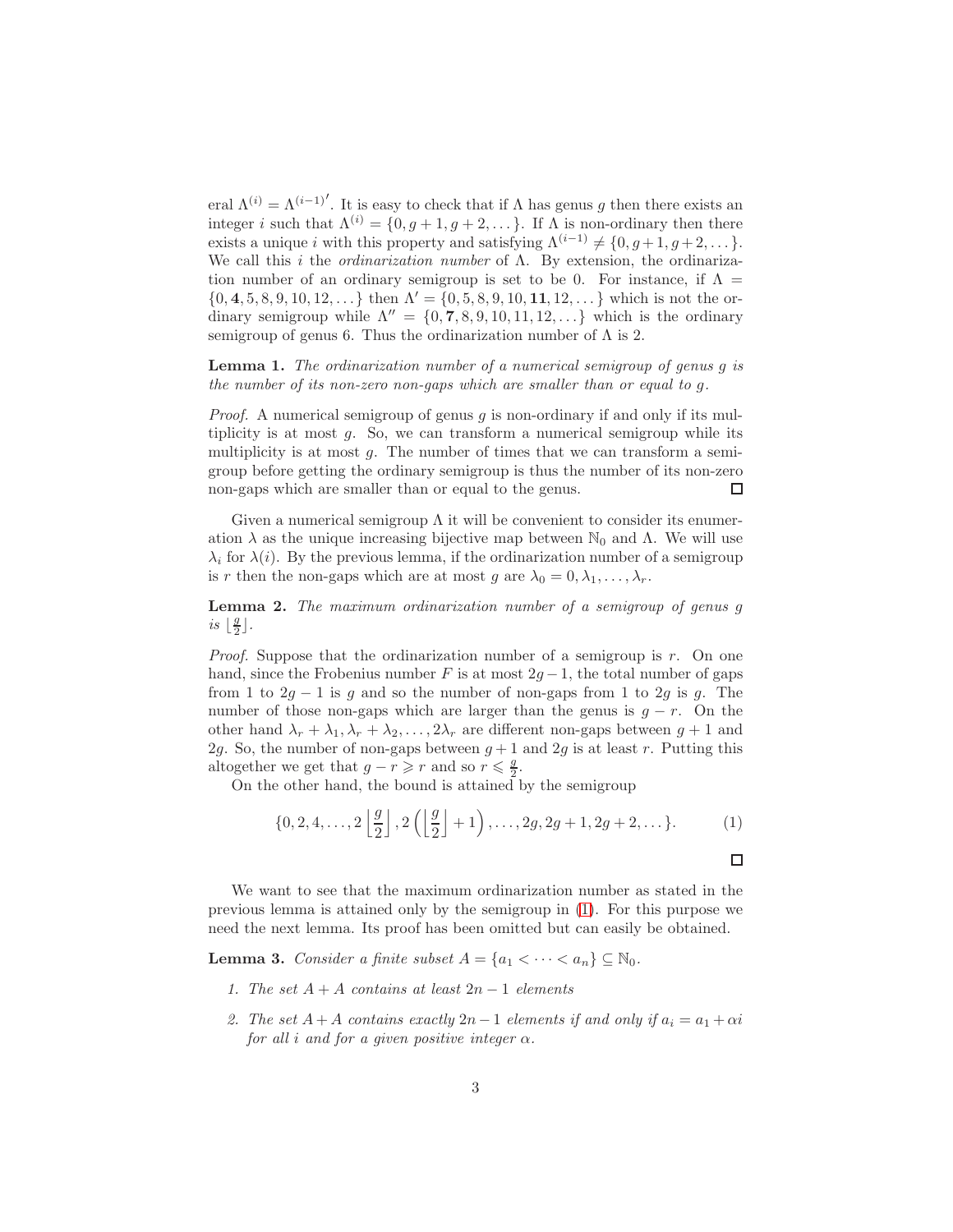eral  $\Lambda^{(i)} = \Lambda^{(i-1)}$ . It is easy to check that if  $\Lambda$  has genus g then there exists an integer i such that  $\Lambda^{(i)} = \{0, g+1, g+2, \dots\}$ . If  $\Lambda$  is non-ordinary then there exists a unique *i* with this property and satisfying  $\Lambda^{(i-1)} \neq \{0, q+1, q+2, \dots\}.$ We call this i the *ordinarization number* of  $\Lambda$ . By extension, the ordinarization number of an ordinary semigroup is set to be 0. For instance, if  $\Lambda =$  $\{0, 4, 5, 8, 9, 10, 12, \ldots\}$  then  $\Lambda' = \{0, 5, 8, 9, 10, 11, 12, \ldots\}$  which is not the ordinary semigroup while  $\Lambda'' = \{0, 7, 8, 9, 10, 11, 12, \ldots\}$  which is the ordinary semigroup of genus 6. Thus the ordinarization number of  $\Lambda$  is 2.

<span id="page-2-2"></span>Lemma 1. The ordinarization number of a numerical semigroup of genus g is the number of its non-zero non-gaps which are smaller than or equal to g.

*Proof.* A numerical semigroup of genus q is non-ordinary if and only if its multiplicity is at most  $g$ . So, we can transform a numerical semigroup while its multiplicity is at most  $g$ . The number of times that we can transform a semigroup before getting the ordinary semigroup is thus the number of its non-zero non-gaps which are smaller than or equal to the genus.  $\Box$ 

Given a numerical semigroup  $\Lambda$  it will be convenient to consider its enumeration  $\lambda$  as the unique increasing bijective map between  $\mathbb{N}_0$  and  $\Lambda$ . We will use  $\lambda_i$  for  $\lambda(i)$ . By the previous lemma, if the ordinarization number of a semigroup is r then the non-gaps which are at most g are  $\lambda_0 = 0, \lambda_1, \ldots, \lambda_r$ .

Lemma 2. The maximum ordinarization number of a semigroup of genus g is  $\frac{g}{2}$  $\frac{g}{2}$ .

*Proof.* Suppose that the ordinarization number of a semigroup is r. On one hand, since the Frobenius number F is at most  $2g - 1$ , the total number of gaps from 1 to  $2g - 1$  is g and so the number of non-gaps from 1 to  $2g$  is g. The number of those non-gaps which are larger than the genus is  $g - r$ . On the other hand  $\lambda_r + \lambda_1, \lambda_r + \lambda_2, \ldots, 2\lambda_r$  are different non-gaps between  $g + 1$  and 2g. So, the number of non-gaps between  $g + 1$  and 2g is at least r. Putting this altogether we get that  $g - r \geq r$  and so  $r \leq \frac{g}{2}$  $\frac{g}{2}$ .

On the other hand, the bound is attained by the semigroup

<span id="page-2-0"></span>
$$
\{0, 2, 4, \ldots, 2\left\lfloor \frac{g}{2} \right\rfloor, 2\left(\left\lfloor \frac{g}{2} \right\rfloor + 1\right), \ldots, 2g, 2g + 1, 2g + 2, \ldots\}.
$$
 (1)

We want to see that the maximum ordinarization number as stated in the previous lemma is attained only by the semigroup in [\(1\)](#page-2-0). For this purpose we need the next lemma. Its proof has been omitted but can easily be obtained.

<span id="page-2-1"></span>**Lemma 3.** Consider a finite subset  $A = \{a_1 < \cdots < a_n\} \subseteq \mathbb{N}_0$ .

- 1. The set  $A + A$  contains at least  $2n 1$  elements
- 2. The set  $A + A$  contains exactly  $2n 1$  elements if and only if  $a_i = a_1 + \alpha i$ for all i and for a given positive integer  $\alpha$ .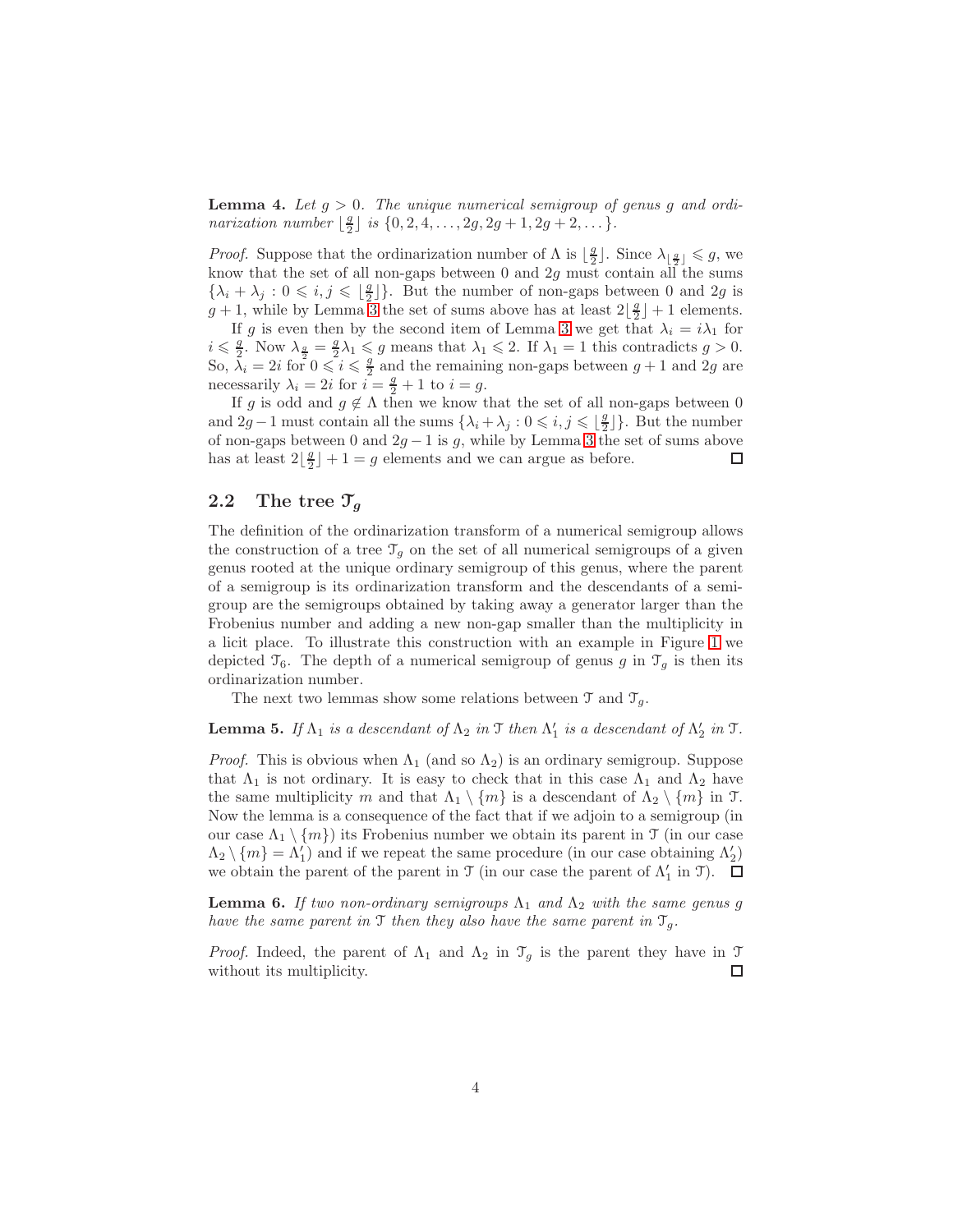**Lemma 4.** Let  $g > 0$ . The unique numerical semigroup of genus g and ordinarization number  $\lfloor \frac{g}{2} \rfloor$  is  $\{0, 2, 4, ..., 2g, 2g + 1, 2g + 2, ...\}$ .

*Proof.* Suppose that the ordinarization number of  $\Lambda$  is  $\lfloor \frac{g}{2} \rfloor$ . Since  $\lambda_{\lfloor \frac{g}{2} \rfloor} \leq g$ , we know that the set of all non-gaps between 0 and  $2g$  must contain all the sums  $\{\lambda_i + \lambda_j : 0 \leqslant i, j \leqslant \lfloor \frac{g}{2} \rfloor\}$  $\frac{g}{2}$ }. But the number of non-gaps between 0 and 2g is  $g + 1$ , while by Lemma [3](#page-2-1) the set of sums above has at least  $2\lfloor \frac{g}{2} \rfloor + 1$  elements.

If g is even then by the second item of Lemma [3](#page-2-1) we get that  $\lambda_i = i\lambda_1$  for  $i \leqslant \frac{g}{2}$ . Now  $\lambda_{\frac{g}{2}} = \frac{g}{2}\lambda_1 \leqslant g$  means that  $\lambda_1 \leqslant 2$ . If  $\lambda_1 = 1$  this contradicts  $g > 0$ . So,  $\lambda_i = 2i$  for  $0 \leqslant i \leqslant \frac{9}{2}$  $\frac{g}{2}$  and the remaining non-gaps between  $g + 1$  and  $2g$  are necessarily  $\lambda_i = 2i$  for  $i = \frac{g}{2} + 1$  to  $i = g$ .

If g is odd and  $g \notin \Lambda$  then we know that the set of all non-gaps between 0 and  $2g - 1$  must contain all the sums  $\{\lambda_i + \lambda_j : 0 \leq i, j \leq \lfloor \frac{g}{2} \rfloor\}$  $\frac{g}{2}$ ]. But the number of non-gaps between 0 and  $2g - 1$  is g, while by Lemma [3](#page-2-1) the set of sums above has at least  $2\left\lfloor \frac{g}{2} \right\rfloor + 1 = g$  elements and we can argue as before. 口

#### 2.2 The tree  $\mathcal{T}_g$

The definition of the ordinarization transform of a numerical semigroup allows the construction of a tree  $\mathcal{T}_q$  on the set of all numerical semigroups of a given genus rooted at the unique ordinary semigroup of this genus, where the parent of a semigroup is its ordinarization transform and the descendants of a semigroup are the semigroups obtained by taking away a generator larger than the Frobenius number and adding a new non-gap smaller than the multiplicity in a licit place. To illustrate this construction with an example in Figure [1](#page-4-0) we depicted  $\mathcal{T}_6$ . The depth of a numerical semigroup of genus g in  $\mathcal{T}_g$  is then its ordinarization number.

The next two lemmas show some relations between  $\mathcal{T}$  and  $\mathcal{T}_g$ .

**Lemma 5.** If  $\Lambda_1$  is a descendant of  $\Lambda_2$  in  $\mathcal T$  then  $\Lambda'_1$  is a descendant of  $\Lambda'_2$  in  $\mathcal T$ .

*Proof.* This is obvious when  $\Lambda_1$  (and so  $\Lambda_2$ ) is an ordinary semigroup. Suppose that  $\Lambda_1$  is not ordinary. It is easy to check that in this case  $\Lambda_1$  and  $\Lambda_2$  have the same multiplicity m and that  $\Lambda_1 \setminus \{m\}$  is a descendant of  $\Lambda_2 \setminus \{m\}$  in T. Now the lemma is a consequence of the fact that if we adjoin to a semigroup (in our case  $\Lambda_1 \setminus \{m\}$  its Frobenius number we obtain its parent in  $\mathcal T$  (in our case  $\Lambda_2 \setminus \{m\} = \Lambda'_1$  and if we repeat the same procedure (in our case obtaining  $\Lambda'_2$ ) we obtain the parent of the parent in  $\mathfrak T$  (in our case the parent of  $\Lambda'_1$  in  $\mathfrak T$ ).

**Lemma 6.** If two non-ordinary semigroups  $\Lambda_1$  and  $\Lambda_2$  with the same genus g have the same parent in  $\mathfrak I$  then they also have the same parent in  $\mathfrak T_g$ .

*Proof.* Indeed, the parent of  $\Lambda_1$  and  $\Lambda_2$  in  $\mathcal{T}_g$  is the parent they have in  $\mathcal{T}_g$ without its multiplicity. ◻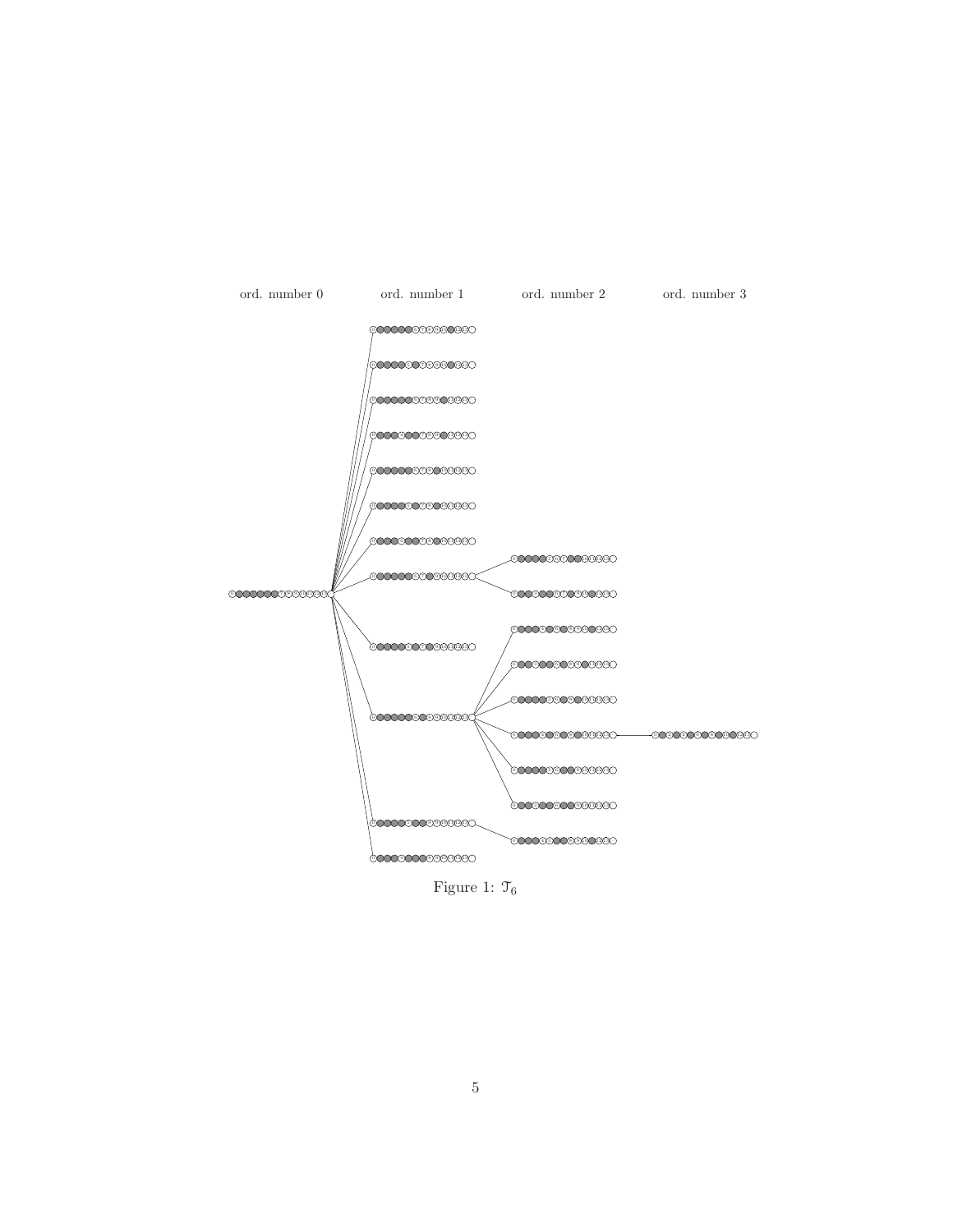

<span id="page-4-0"></span>Figure 1:  $\mathcal{T}_6$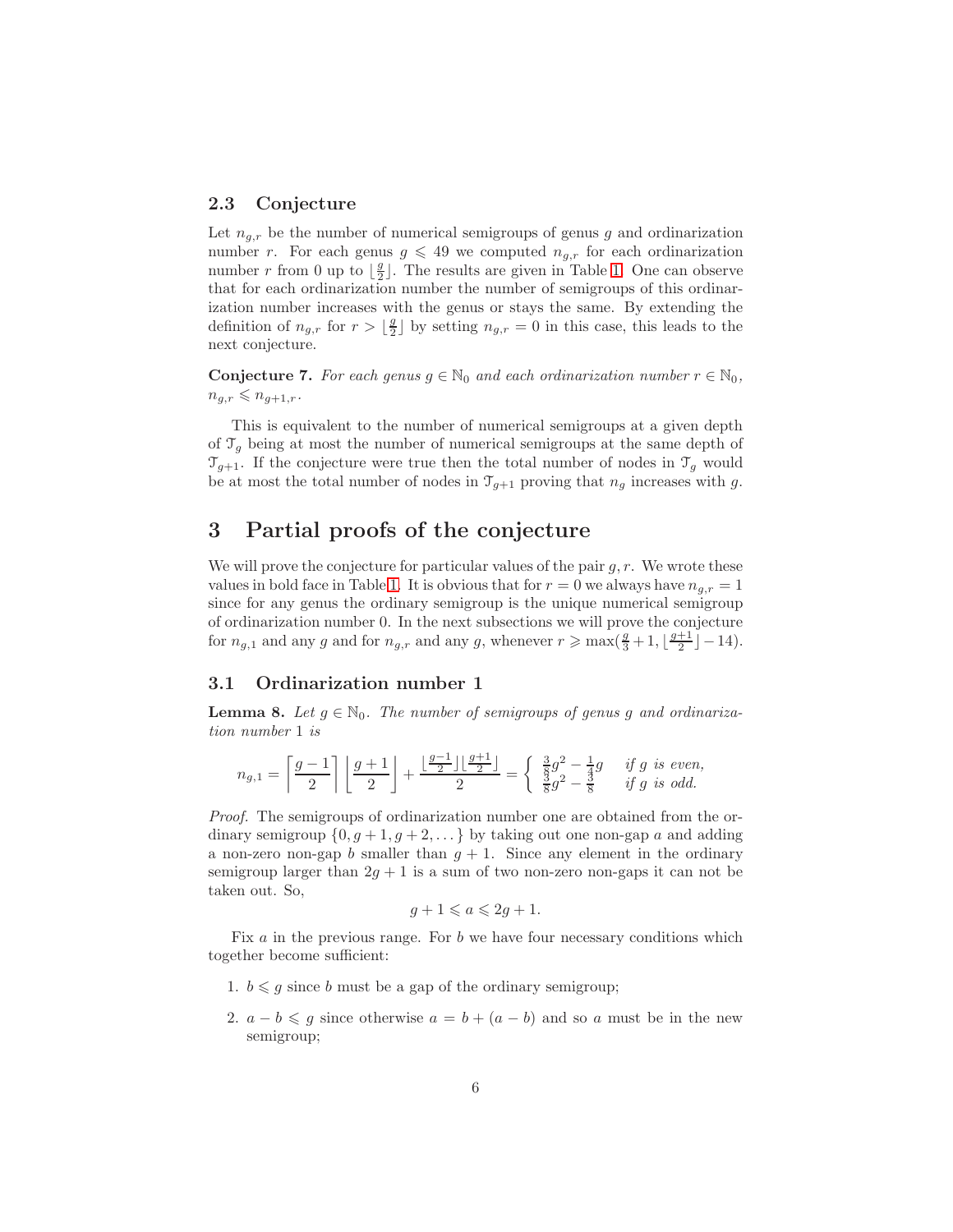#### 2.3 Conjecture

Let  $n_{q,r}$  be the number of numerical semigroups of genus g and ordinarization number r. For each genus  $g \leq 49$  we computed  $n_{g,r}$  for each ordinarization number r from 0 up to  $\frac{g}{2}$  $\frac{g}{2}$ . The results are given in Table [1.](#page-12-0) One can observe that for each ordinarization number the number of semigroups of this ordinarization number increases with the genus or stays the same. By extending the definition of  $n_{g,r}$  for  $r > \lfloor \frac{g}{2} \rfloor$  $\frac{g}{2}$  by setting  $n_{g,r} = 0$  in this case, this leads to the next conjecture.

**Conjecture 7.** For each genus  $g \in \mathbb{N}_0$  and each ordinarization number  $r \in \mathbb{N}_0$ ,  $n_{q,r} \leqslant n_{q+1,r}.$ 

This is equivalent to the number of numerical semigroups at a given depth of  $\mathcal{T}_g$  being at most the number of numerical semigroups at the same depth of  $\mathcal{T}_{g+1}$ . If the conjecture were true then the total number of nodes in  $\mathcal{T}_g$  would be at most the total number of nodes in  $\mathcal{T}_{g+1}$  proving that  $n_g$  increases with g.

## 3 Partial proofs of the conjecture

We will prove the conjecture for particular values of the pair  $q, r$ . We wrote these values in bold face in Table [1.](#page-12-0) It is obvious that for  $r = 0$  we always have  $n_{q,r} = 1$ since for any genus the ordinary semigroup is the unique numerical semigroup of ordinarization number 0. In the next subsections we will prove the conjecture for  $n_{g,1}$  and any g and for  $n_{g,r}$  and any g, whenever  $r \ge \max(\frac{g}{3}+1, \lfloor \frac{g+1}{2} \rfloor - 14)$ .

#### 3.1 Ordinarization number 1

<span id="page-5-0"></span>**Lemma 8.** Let  $g \in \mathbb{N}_0$ . The number of semigroups of genus g and ordinarization number 1 is

$$
n_{g,1}=\left\lceil \frac{g-1}{2}\right\rceil \left\lfloor \frac{g+1}{2}\right\rfloor+\frac{\lfloor \frac{g-1}{2}\rfloor \lfloor \frac{g+1}{2}\rfloor}{2}=\left\{\begin{array}{cc} \frac{3}{8}g^2-\frac{1}{4}g & \textit{if } g \textit{ is even,} \\ \frac{3}{8}g^2-\frac{3}{8} & \textit{if } g \textit{ is odd.} \end{array}\right.
$$

Proof. The semigroups of ordinarization number one are obtained from the ordinary semigroup  $\{0, g+1, g+2, \ldots\}$  by taking out one non-gap a and adding a non-zero non-gap b smaller than  $g + 1$ . Since any element in the ordinary semigroup larger than  $2g + 1$  is a sum of two non-zero non-gaps it can not be taken out. So,

$$
g+1 \leqslant a \leqslant 2g+1.
$$

Fix  $a$  in the previous range. For  $b$  we have four necessary conditions which together become sufficient:

- 1.  $b \leq g$  since b must be a gap of the ordinary semigroup;
- 2.  $a b \leq g$  since otherwise  $a = b + (a b)$  and so a must be in the new semigroup;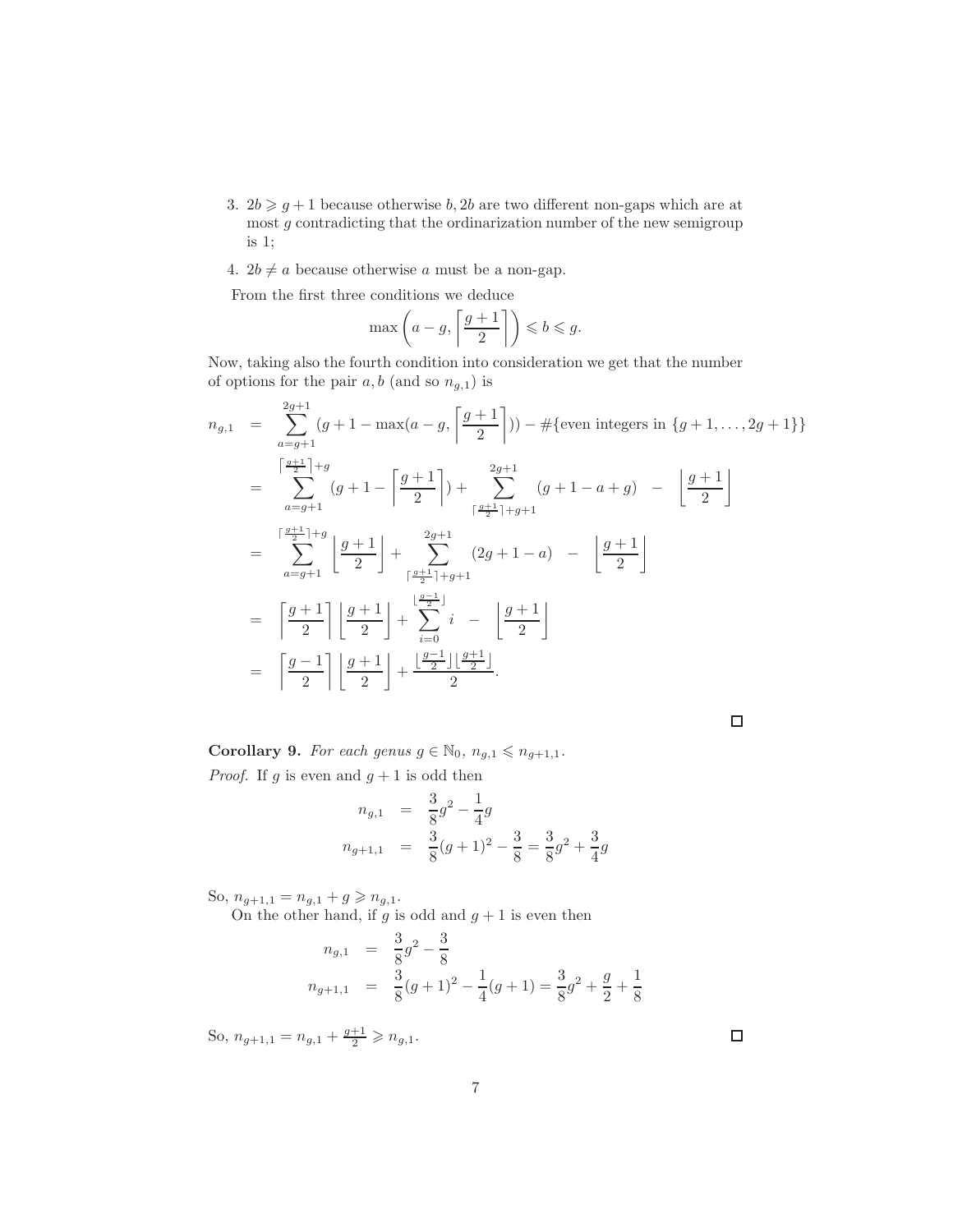- 3.  $2b \geq g+1$  because otherwise b, 2b are two different non-gaps which are at most g contradicting that the ordinarization number of the new semigroup is 1;
- 4.  $2b \neq a$  because otherwise a must be a non-gap.

From the first three conditions we deduce

$$
\max\left(a-g,\left\lceil\frac{g+1}{2}\right\rceil\right)\leqslant b\leqslant g.
$$

Now, taking also the fourth condition into consideration we get that the number of options for the pair  $a, b$  (and so  $n_{g,1}$ ) is

$$
n_{g,1} = \sum_{a=g+1}^{2g+1} (g+1-\max(a-g, \left\lceil \frac{g+1}{2} \right\rceil)) - \#\{\text{even integers in } \{g+1, \ldots, 2g+1\}\}\
$$
  
\n
$$
= \sum_{a=g+1}^{\left\lceil \frac{g+1}{2} \right\rceil+g} (g+1-\left\lceil \frac{g+1}{2} \right\rceil) + \sum_{\left\lceil \frac{g+1}{2} \right\rceil+g+1}^{2g+1} (g+1-a+g) - \left\lfloor \frac{g+1}{2} \right\rfloor
$$
  
\n
$$
= \sum_{a=g+1}^{\left\lceil \frac{g+1}{2} \right\rceil+g} \left\lfloor \frac{g+1}{2} \right\rfloor + \sum_{\left\lceil \frac{g+1}{2} \right\rceil+g+1}^{2g+1} (2g+1-a) - \left\lfloor \frac{g+1}{2} \right\rfloor
$$
  
\n
$$
= \left\lceil \frac{g+1}{2} \right\rceil \left\lfloor \frac{g+1}{2} \right\rfloor + \sum_{i=0}^{\left\lfloor \frac{g-1}{2} \right\rfloor+g+1} i - \left\lfloor \frac{g+1}{2} \right\rfloor
$$
  
\n
$$
= \left\lceil \frac{g-1}{2} \right\rceil \left\lfloor \frac{g+1}{2} \right\rfloor + \frac{\left\lfloor \frac{g-1}{2} \right\rfloor \left\lfloor \frac{g+1}{2} \right\rfloor}{2}.
$$

 $\Box$ 

Corollary 9. For each genus  $g \in \mathbb{N}_0$ ,  $n_{g,1} \leq n_{g+1,1}$ . *Proof.* If g is even and  $g + 1$  is odd then

$$
n_{g,1} = \frac{3}{8}g^2 - \frac{1}{4}g
$$
  

$$
n_{g+1,1} = \frac{3}{8}(g+1)^2 - \frac{3}{8} = \frac{3}{8}g^2 + \frac{3}{4}g
$$

So,  $n_{g+1,1} = n_{g,1} + g \geqslant n_{g,1}.$ 

On the other hand, if g is odd and  $g + 1$  is even then

$$
n_{g,1} = \frac{3}{8}g^2 - \frac{3}{8}
$$
  
\n
$$
n_{g+1,1} = \frac{3}{8}(g+1)^2 - \frac{1}{4}(g+1) = \frac{3}{8}g^2 + \frac{g}{2} + \frac{1}{8}
$$

So,  $n_{g+1,1} = n_{g,1} + \frac{g+1}{2} \geq n_{g,1}.$ 

 $\Box$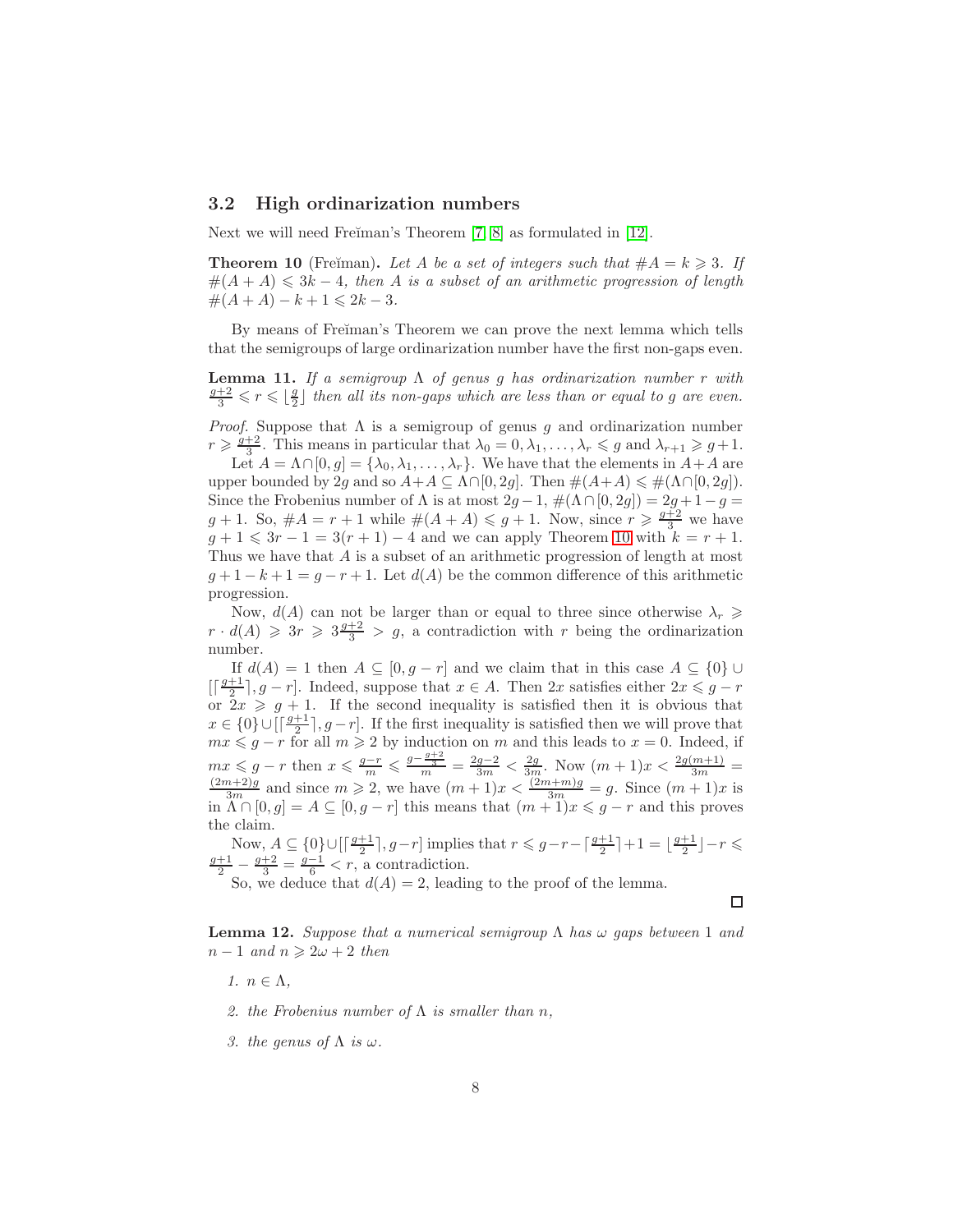#### 3.2 High ordinarization numbers

Next we will need Freiman's Theorem [\[7,](#page-14-8) [8\]](#page-14-9) as formulated in [\[12\]](#page-14-10).

<span id="page-7-0"></span>**Theorem 10** (Fre $\text{Im}\text{an}$ ). Let A be a set of integers such that  $#A = k \geq 3$ . If  $#(A + A) \leq 3k - 4$ , then A is a subset of an arithmetic progression of length  $\#(A+A) - k + 1 \leq 2k - 3.$ 

By means of Fre $\check{\text{r}}$  man's Theorem we can prove the next lemma which tells that the semigroups of large ordinarization number have the first non-gaps even.

<span id="page-7-2"></span>**Lemma 11.** If a semigroup  $\Lambda$  of genus g has ordinarization number r with  $\frac{g+2}{3} \leqslant r \leqslant \lfloor \frac{g}{2} \rfloor$  $\frac{g}{2}$ ] then all its non-gaps which are less than or equal to g are even.

*Proof.* Suppose that  $\Lambda$  is a semigroup of genus g and ordinarization number  $r \geqslant \frac{g+2}{3}$ . This means in particular that  $\lambda_0 = 0, \lambda_1, \ldots, \lambda_r \leqslant g$  and  $\lambda_{r+1} \geqslant g+1$ .

Let  $A = \Lambda \cap [0, g] = {\lambda_0, \lambda_1, \ldots, \lambda_r}$ . We have that the elements in  $A + A$  are upper bounded by 2g and so  $A+A \subseteq \Lambda \cap [0,2g]$ . Then  $\#(A+A) \leq \#(\Lambda \cap [0,2g])$ . Since the Frobenius number of  $\Lambda$  is at most  $2g-1$ ,  $\#(\Lambda \cap [0, 2g]) = 2g+1-g$  $g + 1$ . So,  $\#A = r + 1$  while  $\#(A + A) \leq g + 1$ . Now, since  $r \geq \frac{g+2}{3}$  we have  $g + 1 \leq 3r - 1 = 3(r + 1) - 4$  and we can apply Theorem [10](#page-7-0) with  $k = r + 1$ . Thus we have that A is a subset of an arithmetic progression of length at most  $q+1-k+1=q-r+1$ . Let  $d(A)$  be the common difference of this arithmetic progression.

Now,  $d(A)$  can not be larger than or equal to three since otherwise  $\lambda_r \geq$  $r \cdot d(A) \geqslant 3r \geqslant 3\frac{g+2}{3} > g$ , a contradiction with r being the ordinarization number.

If  $d(A) = 1$  then  $A \subseteq [0, g - r]$  and we claim that in this case  $A \subseteq \{0\} \cup$  $\lbrack \lbrack \frac{g+1}{2} \rbrack, g-r \rbrack$ . Indeed, suppose that  $x \in A$ . Then  $2x$  satisfies either  $2x \leqslant g-r$ or  $2x \geqslant g + 1$ . If the second inequality is satisfied then it is obvious that  $x \in \{0\} \cup [\lceil \frac{g+1}{2} \rceil, g-r]$ . If the first inequality is satisfied then we will prove that  $mx \leq q - r$  for all  $m \geq 2$  by induction on m and this leads to  $x = 0$ . Indeed, if  $mx \leq g - r$  then  $x \leq \frac{g - r}{m} \leq \frac{g - \frac{g + 2}{3}}{m} = \frac{2g - 2}{3m} < \frac{2g}{3m}$ . Now  $(m + 1)x < \frac{2g(m+1)}{3m} = \frac{(2m+2)g}{3m}$  and since  $m \geq 2$ , we have  $(m + 1)x < \frac{(2m+m)g}{3m} = g$ . Since  $(m + 1)x$  is in  $\Lambda \cap [0, g] = A \subseteq [0, g - r]$  this means that  $(m + 1)x \le g - r$  and this proves the claim.

Now,  $A \subseteq \{0\} \cup \left[\left\lceil \frac{g+1}{2} \right\rceil, g-r\right]$  implies that  $r \leqslant g-r-\left\lceil \frac{g+1}{2} \right\rceil+1=\left\lfloor \frac{g+1}{2} \right\rfloor-r \leqslant 1$  $\frac{g+1}{2} - \frac{g+2}{3} = \frac{g-1}{6} < r$ , a contradiction.

So, we deduce that  $d(A) = 2$ , leading to the proof of the lemma.

 $\Box$ 

<span id="page-7-1"></span>**Lemma 12.** Suppose that a numerical semigroup  $\Lambda$  has  $\omega$  gaps between 1 and  $n-1$  and  $n \geq 2\omega + 2$  then

- 1.  $n \in \Lambda$ ,
- 2. the Frobenius number of  $\Lambda$  is smaller than n,
- 3. the genus of  $\Lambda$  is  $\omega$ .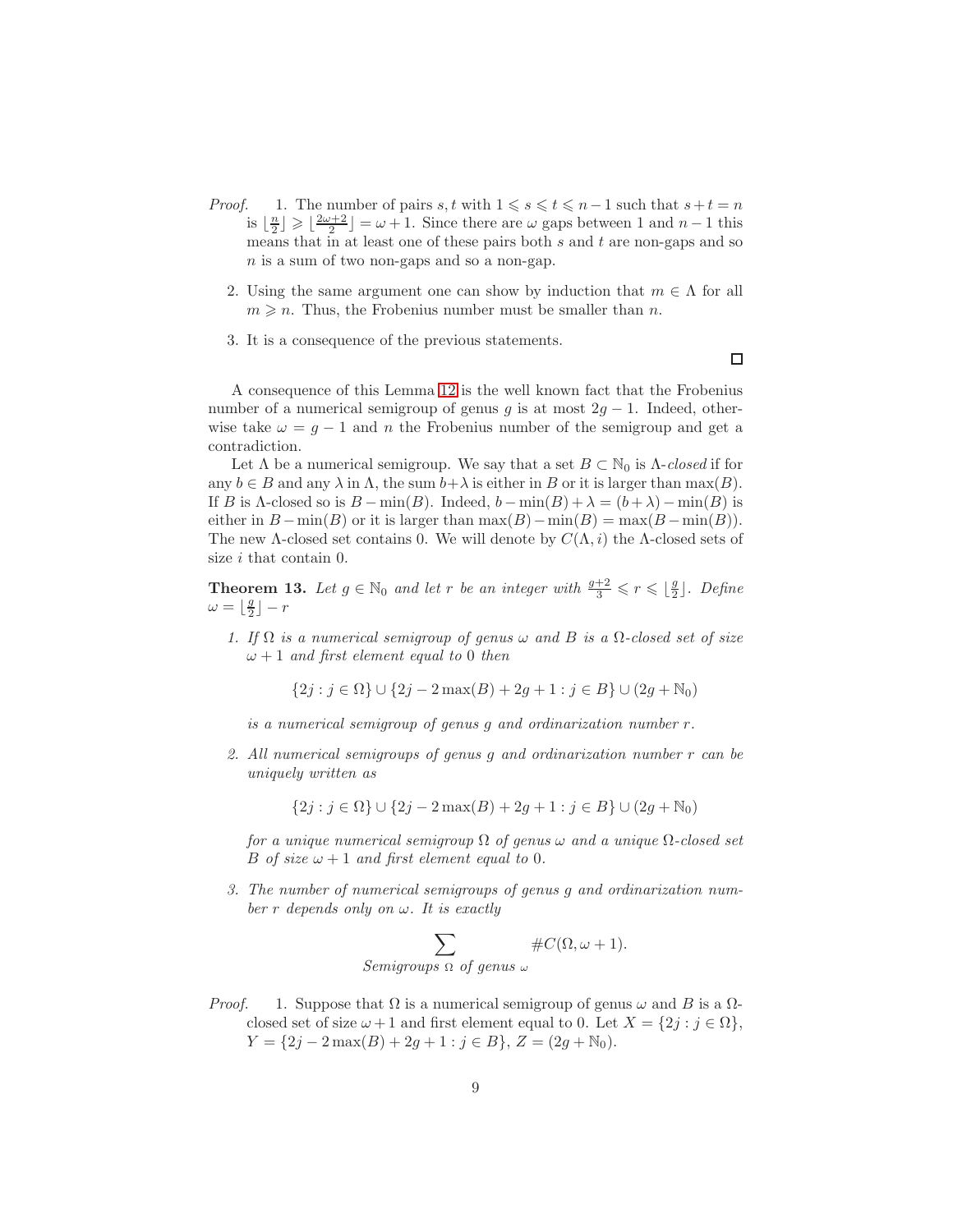- *Proof.* 1. The number of pairs s, t with  $1 \le s \le t \le n-1$  such that  $s+t=n$ is  $\lfloor \frac{n}{2} \rfloor \geqslant \lfloor \frac{2\omega+2}{2} \rfloor = \omega+1$ . Since there are  $\omega$  gaps between 1 and  $n-1$  this means that in at least one of these pairs both  $s$  and  $t$  are non-gaps and so n is a sum of two non-gaps and so a non-gap.
	- 2. Using the same argument one can show by induction that  $m \in \Lambda$  for all  $m \geq n$ . Thus, the Frobenius number must be smaller than n.
	- 3. It is a consequence of the previous statements.

A consequence of this Lemma [12](#page-7-1) is the well known fact that the Frobenius number of a numerical semigroup of genus g is at most  $2g - 1$ . Indeed, otherwise take  $\omega = g - 1$  and n the Frobenius number of the semigroup and get a contradiction.

Let  $\Lambda$  be a numerical semigroup. We say that a set  $B \subset \mathbb{N}_0$  is  $\Lambda$ -closed if for any  $b \in B$  and any  $\lambda$  in  $\Lambda$ , the sum  $b + \lambda$  is either in B or it is larger than max(B). If B is  $\Lambda$ -closed so is  $B - \min(B)$ . Indeed,  $b - \min(B) + \lambda = (b + \lambda) - \min(B)$  is either in  $B - min(B)$  or it is larger than  $max(B) - min(B) = max(B - min(B)).$ The new  $\Lambda$ -closed set contains 0. We will denote by  $C(\Lambda, i)$  the  $\Lambda$ -closed sets of size i that contain 0.

<span id="page-8-0"></span>**Theorem 13.** Let  $g \in \mathbb{N}_0$  and let r be an integer with  $\frac{g+2}{3} \leq r \leq \lfloor \frac{g}{2} \rfloor$  $\frac{g}{2}$ ]. Define  $\omega = \lfloor \frac{g}{2} \rfloor - r$ 

1. If  $\Omega$  is a numerical semigroup of genus  $\omega$  and B is a  $\Omega$ -closed set of size  $\omega + 1$  and first element equal to 0 then

$$
\{2j : j \in \Omega\} \cup \{2j - 2\max(B) + 2g + 1 : j \in B\} \cup (2g + \mathbb{N}_0)
$$

is a numerical semigroup of genus g and ordinarization number r.

2. All numerical semigroups of genus g and ordinarization number r can be uniquely written as

$$
\{2j : j \in \Omega\} \cup \{2j - 2\max(B) + 2g + 1 : j \in B\} \cup (2g + \mathbb{N}_0)
$$

for a unique numerical semigroup  $\Omega$  of genus  $\omega$  and a unique  $\Omega$ -closed set B of size  $\omega + 1$  and first element equal to 0.

3. The number of numerical semigroups of genus g and ordinarization number r depends only on  $\omega$ . It is exactly

$$
\sum_{Semigroups \ \Omega \ of \ genus \ \omega} #C(\Omega, \omega + 1).
$$

*Proof.* 1. Suppose that  $\Omega$  is a numerical semigroup of genus  $\omega$  and B is a  $\Omega$ closed set of size  $\omega + 1$  and first element equal to 0. Let  $X = \{2j : j \in \Omega\},\$  $Y = \{2j - 2\max(B) + 2g + 1 : j \in B\}, Z = (2g + N_0).$ 

 $\Box$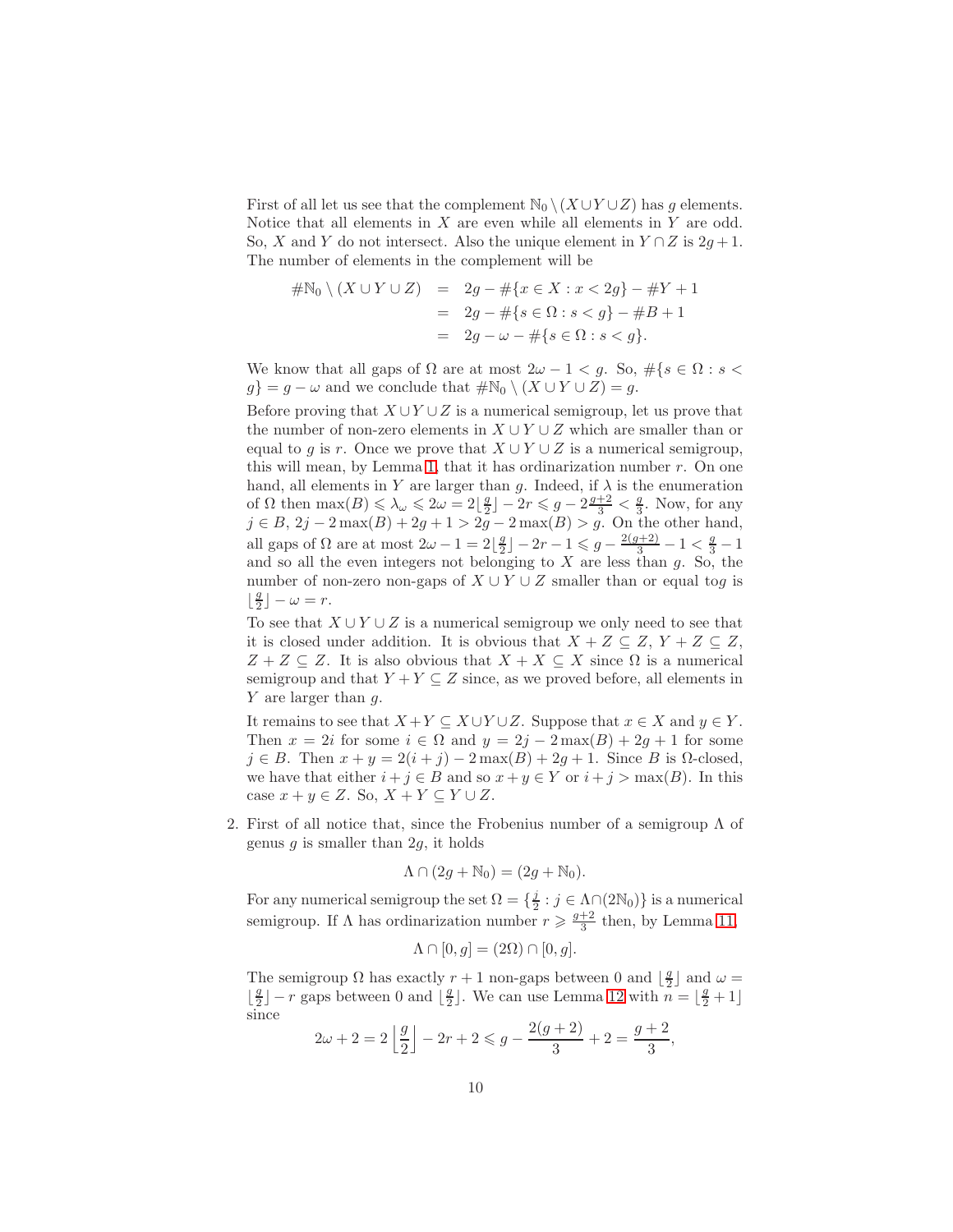First of all let us see that the complement  $\mathbb{N}_0 \setminus (X \cup Y \cup Z)$  has g elements. Notice that all elements in  $X$  are even while all elements in  $Y$  are odd. So, X and Y do not intersect. Also the unique element in  $Y \cap Z$  is  $2g + 1$ . The number of elements in the complement will be

$$
#N_0 \setminus (X \cup Y \cup Z) = 2g - #\{x \in X : x < 2g\} - #Y + 1
$$
  
= 2g - #\{s \in \Omega : s < g\} - #B + 1  
= 2g - \omega - #\{s \in \Omega : s < g\}.

We know that all gaps of  $\Omega$  are at most  $2\omega - 1 < g$ . So,  $\#\{s \in \Omega : s < \Omega\}$  $g$ } =  $g - \omega$  and we conclude that  $\#\mathbb{N}_0 \setminus (X \cup Y \cup Z) = g$ .

Before proving that  $X \cup Y \cup Z$  is a numerical semigroup, let us prove that the number of non-zero elements in  $X \cup Y \cup Z$  which are smaller than or equal to g is r. Once we prove that  $X \cup Y \cup Z$  is a numerical semigroup, this will mean, by Lemma [1,](#page-2-2) that it has ordinarization number  $r$ . On one hand, all elements in Y are larger than g. Indeed, if  $\lambda$  is the enumeration of  $\Omega$  then  $\max(B) \le \lambda_{\omega} \le 2\omega = 2\lfloor \frac{g}{2} \rfloor - 2r \le g - 2\frac{g+2}{3} < \frac{g}{3}$ . Now, for any  $j \in B$ ,  $2j - 2 \max(B) + 2g + 1 > 2g - 2 \max(B) > g$ . On the other hand, all gaps of  $\Omega$  are at most  $2\omega - 1 = 2\left\lfloor \frac{g}{2} \right\rfloor$  $\frac{g}{2}$ ]  $-2r-1 \leqslant g - \frac{2(g+2)}{3} - 1 < \frac{g}{3} - 1$ and so all the even integers not belonging to  $X$  are less than  $g$ . So, the number of non-zero non-gaps of  $X \cup Y \cup Z$  smaller than or equal tog is  $\frac{g}{2}$  $\frac{g}{2}$ ] –  $\omega = r$ .

To see that  $X \cup Y \cup Z$  is a numerical semigroup we only need to see that it is closed under addition. It is obvious that  $X + Z \subseteq Z$ ,  $Y + Z \subseteq Z$ ,  $Z + Z \subseteq Z$ . It is also obvious that  $X + X \subseteq X$  since  $\Omega$  is a numerical semigroup and that  $Y + Y \subseteq Z$  since, as we proved before, all elements in Y are larger than q.

It remains to see that  $X + Y \subseteq X \cup Y \cup Z$ . Suppose that  $x \in X$  and  $y \in Y$ . Then  $x = 2i$  for some  $i \in \Omega$  and  $y = 2j - 2 \max(B) + 2g + 1$  for some  $j \in B$ . Then  $x + y = 2(i + j) - 2 \max(B) + 2g + 1$ . Since B is  $\Omega$ -closed, we have that either  $i + j \in B$  and so  $x + y \in Y$  or  $i + j > \max(B)$ . In this case  $x + y \in Z$ . So,  $X + Y \subseteq Y \cup Z$ .

2. First of all notice that, since the Frobenius number of a semigroup  $\Lambda$  of genus  $g$  is smaller than 2 $g$ , it holds

$$
\Lambda \cap (2g + \mathbb{N}_0) = (2g + \mathbb{N}_0).
$$

For any numerical semigroup the set  $\Omega = \{\frac{j}{2}\}$  $\frac{j}{2}$ :  $j \in \Lambda \cap (2\mathbb{N}_0)$  is a numerical semigroup. If  $\Lambda$  has ordinarization number  $r \geqslant \frac{g+2}{3}$  then, by Lemma [11,](#page-7-2)

$$
\Lambda \cap [0, g] = (2\Omega) \cap [0, g].
$$

The semigroup  $\Omega$  has exactly  $r + 1$  non-gaps between 0 and  $\lfloor \frac{g}{2} \rfloor$  and  $\omega =$  $\frac{g}{2}$  $\lfloor \frac{g}{2} \rfloor - r$  gaps between 0 and  $\lfloor \frac{g}{2} \rfloor$  $\frac{g}{2}$ . We can use Lemma [12](#page-7-1) with  $n = \lfloor \frac{g}{2} + 1 \rfloor$ since

$$
2\omega + 2 = 2\left\lfloor \frac{g}{2} \right\rfloor - 2r + 2 \leq g - \frac{2(g+2)}{3} + 2 = \frac{g+2}{3},
$$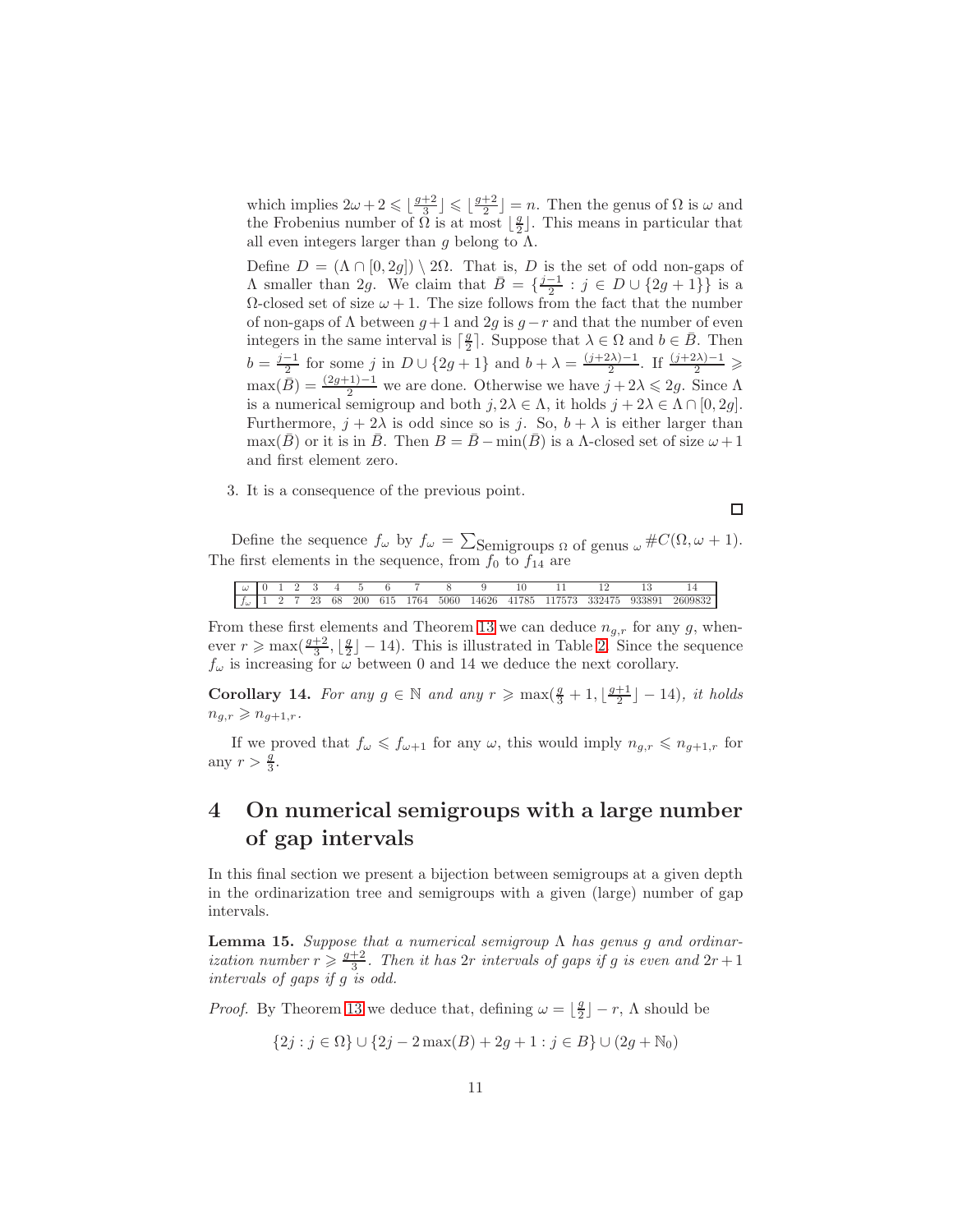which implies  $2\omega + 2 \leq \lfloor \frac{g+2}{3} \rfloor \leq \lfloor \frac{g+2}{2} \rfloor = n$ . Then the genus of  $\Omega$  is  $\omega$  and the Frobenius number of  $\Omega$  is at most  $\lfloor \frac{g}{2} \rfloor$ . This means in particular that all even integers larger than g belong to  $\Lambda$ .

Define  $D = (\Lambda \cap [0, 2g]) \setminus 2\Omega$ . That is, D is the set of odd non-gaps of A smaller than 2g. We claim that  $\bar{B} = \{\frac{j-1}{2} : j \in D \cup \{2g+1\}\}\$ is a  $Ω$ -closed set of size  $ω + 1$ . The size follows from the fact that the number of non-gaps of  $\Lambda$  between  $g+1$  and  $2g$  is  $g-r$  and that the number of even integers in the same interval is  $\lceil \frac{g}{2} \rceil$ . Suppose that  $\lambda \in \Omega$  and  $b \in \overline{B}$ . Then 2  $b = \frac{j-1}{2}$  for some j in  $D \cup \{2g+1\}$  and  $b + \lambda = \frac{(j+2\lambda)-1}{2}$ . If  $\frac{(j+2\lambda)-1}{2} \geq$  $\max(\bar{B}) = \frac{(2g+1)-1}{2}$  we are done. Otherwise we have  $j + 2\lambda \leq 2g$ . Since  $\Lambda$ is a numerical semigroup and both  $j, 2\lambda \in \Lambda$ , it holds  $j + 2\lambda \in \Lambda \cap [0, 2g]$ . Furthermore,  $j + 2\lambda$  is odd since so is j. So,  $b + \lambda$  is either larger than max(B) or it is in B. Then  $B = \overline{B} - \min(B)$  is a  $\Lambda$ -closed set of size  $\omega + 1$ and first element zero.

3. It is a consequence of the previous point.

$$
\Box
$$

Define the sequence  $f_{\omega}$  by  $f_{\omega} = \sum_{\text{Semigroups}} \Omega$  of genus  $_{\omega} \# C(\Omega, \omega + 1)$ . The first elements in the sequence, from  $f_0$  to  $f_{14}$  are

| . J W |  | 23 | 68 | 200 | 615 | 764 | - 5060 - | 14626 | 41785 | 7573. | 332475 | 933891 | 2609832 |
|-------|--|----|----|-----|-----|-----|----------|-------|-------|-------|--------|--------|---------|

From these first elements and Theorem [13](#page-8-0) we can deduce  $n_{g,r}$  for any g, whenever  $r \ge \max\left(\frac{g+2}{3}, \lfloor \frac{g}{2} \rfloor - 14\right)$ . This is illustrated in Table [2.](#page-13-0) Since the sequence  $f_{\omega}$  is increasing for  $\omega$  between 0 and 14 we deduce the next corollary.

Corollary 14. For any  $g \in \mathbb{N}$  and any  $r \ge \max\left(\frac{g}{3} + 1, \lfloor \frac{g+1}{2} \rfloor - 14\right)$ , it holds  $n_{q,r} \geqslant n_{q+1,r}.$ 

If we proved that  $f_{\omega} \leqslant f_{\omega+1}$  for any  $\omega$ , this would imply  $n_{g,r} \leqslant n_{g+1,r}$  for any  $r > \frac{g}{3}$ .

## 4 On numerical semigroups with a large number of gap intervals

In this final section we present a bijection between semigroups at a given depth in the ordinarization tree and semigroups with a given (large) number of gap intervals.

<span id="page-10-0"></span>**Lemma 15.** Suppose that a numerical semigroup Λ has genus g and ordinarization number  $r \geqslant \frac{g+2}{3}$ . Then it has  $2r$  intervals of gaps if g is even and  $2r+1$ intervals of gaps if g is odd.

*Proof.* By Theorem [13](#page-8-0) we deduce that, defining  $\omega = \lfloor \frac{g}{2} \rfloor - r$ ,  $\Lambda$  should be

 ${2j : j \in \Omega} \cup {2j - 2 \max(B) + 2g + 1 : j \in B} \cup (2g + N_0)$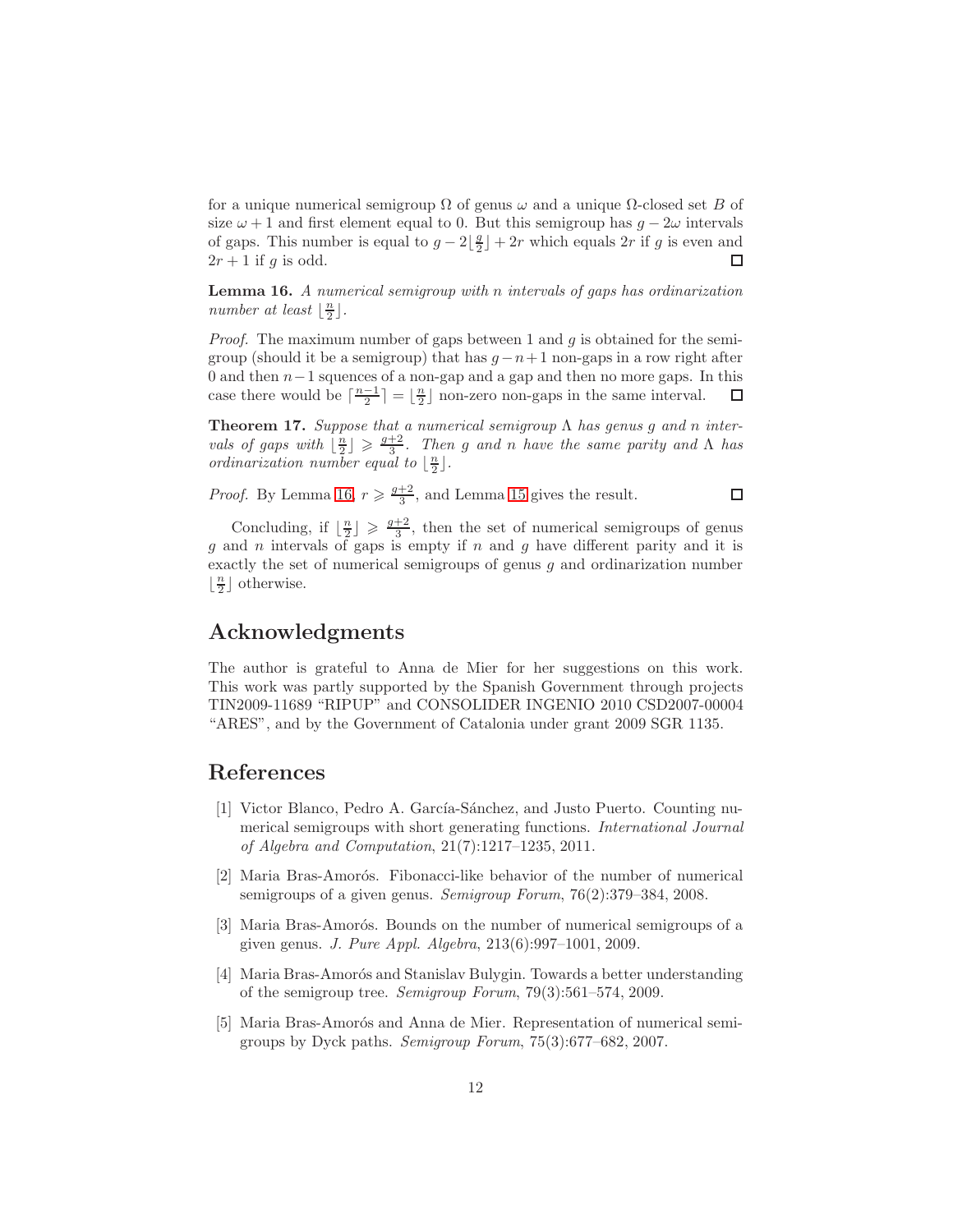for a unique numerical semigroup  $\Omega$  of genus  $\omega$  and a unique  $\Omega$ -closed set B of size  $\omega + 1$  and first element equal to 0. But this semigroup has  $g - 2\omega$  intervals of gaps. This number is equal to  $g - 2\left\lfloor \frac{g}{2} \right\rfloor$  $\lfloor \frac{g}{2} \rfloor + 2r$  which equals  $2r$  if g is even and  $2r+1$  if g is odd. □

<span id="page-11-5"></span>Lemma 16. A numerical semigroup with n intervals of gaps has ordinarization number at least  $\lfloor \frac{n}{2} \rfloor$ .

*Proof.* The maximum number of gaps between 1 and  $g$  is obtained for the semigroup (should it be a semigroup) that has  $g-n+1$  non-gaps in a row right after 0 and then  $n-1$  squences of a non-gap and a gap and then no more gaps. In this case there would be  $\lceil \frac{n-1}{2} \rceil = \lfloor \frac{n}{2} \rfloor$  non-zero non-gaps in the same interval.  $\Box$ 

**Theorem 17.** Suppose that a numerical semigroup  $\Lambda$  has genus g and n intervals of gaps with  $\lfloor \frac{n}{2} \rfloor \geqslant \frac{g+2}{3}$ . Then g and n have the same parity and  $\Lambda$  has ordinarization number equal to  $\lfloor \frac{n}{2} \rfloor$ .

 $\Box$ 

*Proof.* By Lemma [16,](#page-11-5)  $r \geqslant \frac{g+2}{3}$ , and Lemma [15](#page-10-0) gives the result.

Concluding, if  $\lfloor \frac{n}{2} \rfloor \geq \frac{q+2}{3}$ , then the set of numerical semigroups of genus g and n intervals of gaps is empty if  $n$  and  $g$  have different parity and it is exactly the set of numerical semigroups of genus  $g$  and ordinarization number  $\left\lfloor\frac{n}{2}\right\rfloor$  otherwise.

## Acknowledgments

The author is grateful to Anna de Mier for her suggestions on this work. This work was partly supported by the Spanish Government through projects TIN2009-11689 "RIPUP" and CONSOLIDER INGENIO 2010 CSD2007-00004 "ARES", and by the Government of Catalonia under grant 2009 SGR 1135.

#### <span id="page-11-4"></span>References

- [1] Victor Blanco, Pedro A. García-Sánchez, and Justo Puerto. Counting numerical semigroups with short generating functions. International Journal of Algebra and Computation, 21(7):1217–1235, 2011.
- <span id="page-11-0"></span>[2] Maria Bras-Amorós. Fibonacci-like behavior of the number of numerical semigroups of a given genus. Semigroup Forum, 76(2):379–384, 2008.
- <span id="page-11-1"></span>[3] Maria Bras-Amorós. Bounds on the number of numerical semigroups of a given genus. J. Pure Appl. Algebra, 213(6):997–1001, 2009.
- <span id="page-11-3"></span>[4] Maria Bras-Amorós and Stanislav Bulygin. Towards a better understanding of the semigroup tree. Semigroup Forum, 79(3):561–574, 2009.
- <span id="page-11-2"></span>[5] Maria Bras-Amorós and Anna de Mier. Representation of numerical semigroups by Dyck paths. Semigroup Forum, 75(3):677–682, 2007.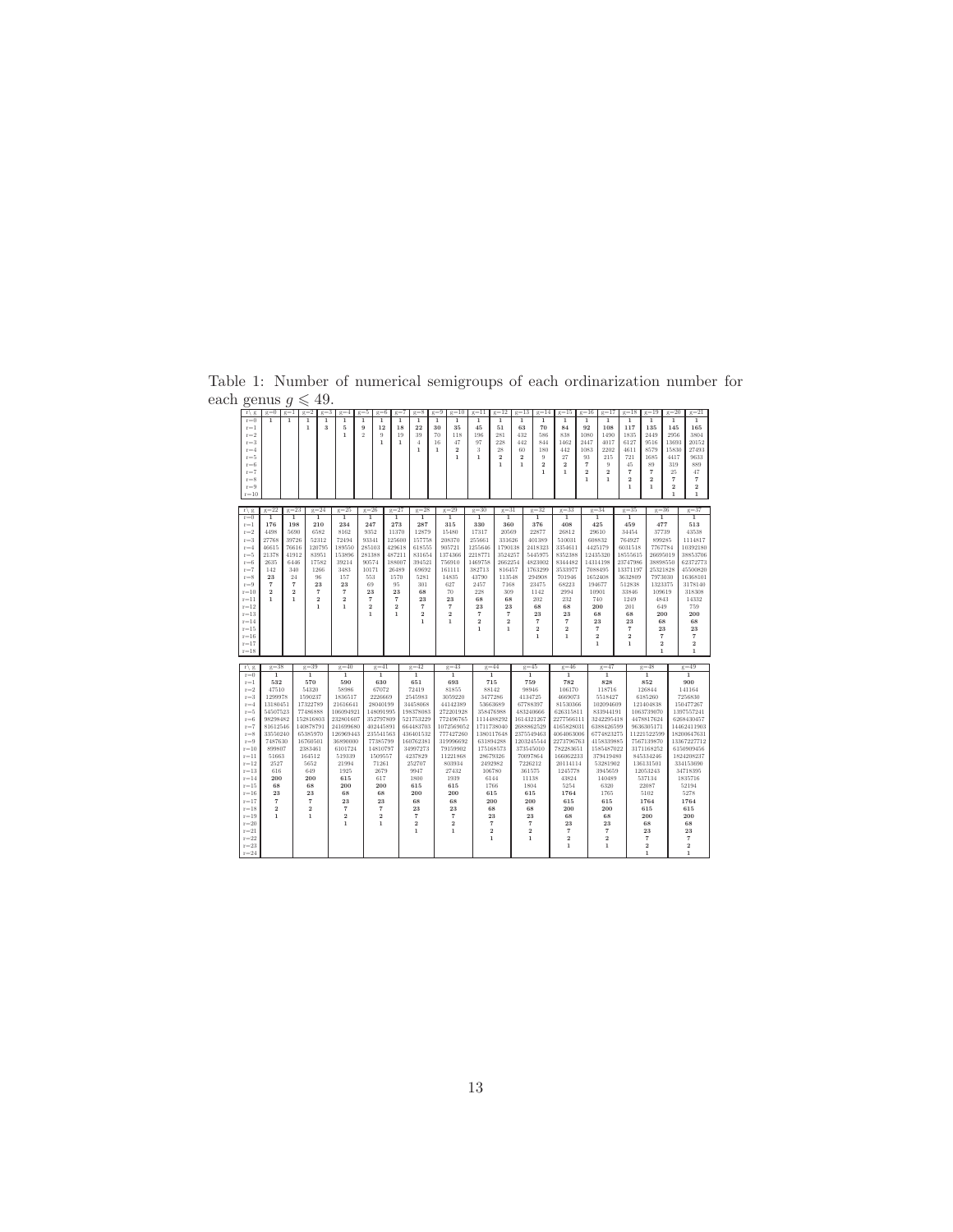<span id="page-12-0"></span>

| 07               |                         | J                       |                         |                         |                         |                |                |                                 |                         |                         |                         |                         |                         |                         |                         |                 |                          |                         |                         |
|------------------|-------------------------|-------------------------|-------------------------|-------------------------|-------------------------|----------------|----------------|---------------------------------|-------------------------|-------------------------|-------------------------|-------------------------|-------------------------|-------------------------|-------------------------|-----------------|--------------------------|-------------------------|-------------------------|
| $r \mid g$       | $g=0$                   | $g=1$                   | $g=2$<br>$g=3$          | $q=4$                   | $\sigma = 5$<br>$g=6$   | $g=7$          | $\sigma = 8$   | $\alpha = 9$<br>$\epsilon = 10$ | $\epsilon = 11$         | $\epsilon = 12$         | $\epsilon = 13$         | $\alpha = 14$           | $\epsilon = 15$         | $\epsilon = 16$         | $g=17$                  | $\epsilon = 18$ | $\sigma = 19$            | $\epsilon = 20$         | $\epsilon = 21$         |
| $r = 0$          | $\overline{1}$          | 1                       | 1<br>1                  | 1                       | 1<br>1                  | 1              | 1              | 1<br>1                          | 1                       | 1                       | 1                       | 1                       | 1                       | 1                       | 1                       | 1               | 1                        | 1                       | 1                       |
| $r=1$            |                         |                         | 1<br>3                  | 5                       | 12<br>9                 | 18             | 22             | 30<br>35                        | 45                      | 51                      | 63                      | 70                      | 84                      | 92                      | 108                     | 117             | 135                      | 145                     | 165                     |
| $\mathrm{r}{=}2$ |                         |                         |                         | $\mathbf{1}$            | $\mathcal{D}$<br>9      | 19             | 39             | 70<br>118                       | 196                     | 281                     | 432                     | 586                     | 838                     | 1080                    | 1490                    | 1835            | 2449                     | 2956                    | 3804                    |
| $r = 3$          |                         |                         |                         |                         | 1                       | $\mathbf{1}$   | $\overline{4}$ | 16<br>47                        | 97                      | 228                     | 442                     | 844                     | 1462                    | 2447                    | 4017                    | 6127            | 9516                     | 13693                   | 20152                   |
| $r = 4$          |                         |                         |                         |                         |                         |                | 1              | 1<br>$\overline{\mathbf{2}}$    | 3                       | 28                      | 60                      | 180                     | 442                     | 1083                    | 2202                    | 4611            | 8579                     | 15830                   | 27493                   |
|                  |                         |                         |                         |                         |                         |                |                |                                 |                         |                         |                         |                         |                         |                         |                         |                 |                          |                         |                         |
| $r = 5$          |                         |                         |                         |                         |                         |                |                | $\mathbf{1}$                    | $\mathbf{1}$            | $\overline{\mathbf{2}}$ | $\overline{\mathbf{2}}$ | 9                       | 27                      | 93                      | 215                     | 721             | 1685                     | 4417                    | 9633                    |
| $r = 6$          |                         |                         |                         |                         |                         |                |                |                                 |                         | 1                       | $\mathbf{1}$            | $\overline{\mathbf{2}}$ | $\overline{2}$          | $\overline{7}$          | $\Omega$                | 45              | 89                       | 319                     | 889                     |
| $r = 7$          |                         |                         |                         |                         |                         |                |                |                                 |                         |                         |                         | 1                       | 1                       | $\overline{\mathbf{2}}$ | $\overline{\mathbf{2}}$ | $\overline{7}$  | $\overline{7}$           | 25                      | 47                      |
| $r = 8$          |                         |                         |                         |                         |                         |                |                |                                 |                         |                         |                         |                         |                         | 1                       | 1                       | $\overline{2}$  | $\overline{\mathbf{2}}$  | $\overline{7}$          | $\overline{7}$          |
| $r = 9$          |                         |                         |                         |                         |                         |                |                |                                 |                         |                         |                         |                         |                         |                         |                         | 1               | $\mathbf{1}$             | $\overline{\mathbf{2}}$ | $\overline{\mathbf{2}}$ |
| $r = 10$         |                         |                         |                         |                         |                         |                |                |                                 |                         |                         |                         |                         |                         |                         |                         |                 |                          | 1                       | 1                       |
|                  |                         |                         |                         |                         |                         |                |                |                                 |                         |                         |                         |                         |                         |                         |                         |                 |                          |                         |                         |
| $r \mid g$       | $g=22$                  | $g=23$                  | $g=24$                  | $g=25$                  | $g=26$                  | $g=27$         | $g=28$         | $g=29$                          | $g=30$                  | $g=31$                  |                         | $g = 32$                | $g = 33$                |                         | $g = 34$                | $g=35$          | $g = 36$                 |                         | $g = 37$                |
| $r = 0$          | T                       | T                       | T                       | T                       | T                       | T              | T              | T                               | T                       | T                       |                         | T                       | T                       |                         | T                       | T               | T                        |                         | T                       |
|                  |                         |                         |                         |                         |                         |                |                |                                 |                         |                         |                         |                         |                         |                         |                         |                 |                          |                         |                         |
| $r = 1$          | 176                     | 198                     | 210                     | 234                     | 247                     | 273            | 287            | 315                             | 330                     | 360                     |                         | 376                     | 408                     |                         | 425                     | 459             | 477                      |                         | 513                     |
| $r = 2$          | 4498                    | 5690                    | 6582                    | 8162                    | 9352                    | 11370          | 12879          | 15480                           | 17317                   | 20569                   |                         | 22877                   | 26812                   |                         | 29610                   | 34454           | 37739                    |                         | 43538                   |
| $r = 3$          | 27768                   | 39726                   | 52312                   | 72494                   | 93341                   | 125600         | 157758         | 208370                          | 255661                  | 331626                  |                         | 401389                  | 510031                  | 608832                  |                         | 764927          | 899285                   |                         | 1114817                 |
| $r = 4$          | 46615                   | 76616                   | 120795                  | 189550                  | 285103                  | 429618         | 618555         | 905721                          | 1255646                 | 1790138                 |                         | 2418323                 | 3354611                 |                         | 4425179                 | 6031518         | 7767784                  |                         | 10392180                |
| $r = 5$          | 21378                   | 41912                   | 83951                   | 153896                  | 281388                  | 487211         | 831654         | 1374366                         | 2218771                 | 3524257                 |                         | 5445975                 | 8352388                 |                         | 12435320                | 18555615        | 26695019                 |                         | 38853706                |
| $r = 6$          | 2635                    | 6446                    | 17582                   | 39214                   | 90574                   | 188007         | 394521         | 756910                          | 1469758                 | 2662254                 |                         | 4823002                 | 8344482                 |                         | 14314198                | 23747986        | 38898550                 |                         | 62372773                |
| $r = 7$          | 142                     | 340                     | 1266                    | 3483                    | 10171                   | 26489          | 69692          | 161111                          | 382713                  | 816457                  |                         | 1763299                 | 3533977                 |                         | 7088495                 | 13371197        | 25321828                 |                         | 45500820                |
| $r = 8$          | 23                      | 24                      | 96                      | 157                     | 553                     | 1570           | 5281           | 14835                           | 43790                   | 113548                  |                         | 294908                  | 701946                  |                         | 1652408                 | 3632809         | 7973030                  |                         | 16368101                |
| $r = 9$          | $\overline{7}$          | $\overline{7}$          | 23                      | 23                      | 69                      | 95             | 301            | 627                             | 2457                    | 7168                    |                         | 23475                   | 68223                   | 194677                  |                         | 512838          |                          |                         |                         |
|                  |                         |                         |                         |                         |                         |                |                |                                 |                         |                         |                         |                         |                         |                         |                         |                 | 1323375                  |                         | 3178140                 |
| $r = 10$         | $\overline{\mathbf{2}}$ | $\overline{\mathbf{2}}$ | $\overline{7}$          | $\overline{7}$          | 23                      | 23             | 68             | 70                              | 228                     | 309                     |                         | 1142                    | 2994                    | 10901                   |                         | 33846           | 109619                   |                         | 318308                  |
| $r=11$           | 1.                      | $\mathbf{1}$            | $\overline{2}$          | $\overline{2}$          | $\overline{7}$          | $\overline{7}$ | 23             | 23                              | 68                      | 68                      |                         | 202                     | 232                     |                         | 740                     | 1249            | 4843                     |                         | 14332                   |
| $r=12$           |                         |                         | $\mathbf{1}$            | 1                       | $\overline{2}$          | $\overline{2}$ | $\overline{7}$ | $\overline{7}$                  | 23                      | 23                      |                         | 68                      | 68                      | 200                     |                         | 201             | 649                      |                         | 759                     |
| $r = 13$         |                         |                         |                         |                         | 1                       | 1              | $\overline{2}$ | $\overline{\mathbf{2}}$         | $\overline{7}$          | $\overline{7}$          |                         | 23                      | 23                      | 68                      |                         | 68              | 200                      |                         | 200                     |
| $r = 14$         |                         |                         |                         |                         |                         |                | ı              | $\mathbf{1}$                    | $\overline{\mathbf{2}}$ | $\overline{\mathbf{2}}$ |                         | $\overline{7}$          | $\overline{7}$          |                         | 23                      | 23              | 68                       |                         | 68                      |
| $r=15$           |                         |                         |                         |                         |                         |                |                |                                 | $\mathbf{1}$            | $\mathbf{1}$            |                         | $\overline{\mathbf{2}}$ | $\overline{\mathbf{2}}$ | $\overline{7}$          |                         | $\overline{7}$  | 23                       |                         | 23                      |
| $r = 16$         |                         |                         |                         |                         |                         |                |                |                                 |                         |                         |                         | 1                       | 1                       |                         | $\overline{\mathbf{2}}$ | $\overline{2}$  | $\overline{7}$           |                         | $\overline{7}$          |
| $r = 17$         |                         |                         |                         |                         |                         |                |                |                                 |                         |                         |                         |                         |                         | 1                       |                         | $\mathbf{1}$    | $\overline{2}$           |                         | $\overline{\mathbf{2}}$ |
|                  |                         |                         |                         |                         |                         |                |                |                                 |                         |                         |                         |                         |                         |                         |                         |                 |                          |                         |                         |
| $r = 18$         |                         |                         |                         |                         |                         |                |                |                                 |                         |                         |                         |                         |                         |                         |                         |                 | 1                        |                         | $\mathbf{1}$            |
|                  |                         |                         |                         |                         |                         |                |                |                                 |                         |                         |                         |                         |                         |                         |                         |                 |                          |                         |                         |
| $r \mid g$       | $g = 38$                |                         | $g = 39$                | $g=40$                  | $g=41$                  |                | $g=42$         | $g = 43$                        |                         | $g=44$                  |                         | $g=45$                  | $g=46$                  |                         | $g=47$                  |                 | $g=48$                   |                         | $g=49$                  |
| $r = 0$          | T                       |                         | T                       | T                       | T                       |                | T              | 1                               |                         | ī                       |                         | T                       | 1                       |                         | ٦                       |                 | T                        |                         | T                       |
| $r = 1$          | 532                     |                         | 570                     | 590                     | 630                     |                | 651            | 693                             |                         | 715                     |                         | 759                     | 782                     |                         | 828                     |                 | 852                      |                         | 900                     |
| $r = 2$          | 47510                   |                         | 54320                   | 58986                   | 67072                   |                | 72419          | 81855                           |                         | 88142                   |                         | 98946                   | 106170                  |                         | 118716                  |                 | 126844                   |                         | 141164                  |
| $r = 3$          | 1299978                 |                         | 1590237                 | 1836517                 | 2226669                 |                | 2545983        | 3059220                         |                         | 3477286                 |                         | 4134725                 | 4669073                 |                         | 5518427                 |                 | 6185260                  |                         | 7256830                 |
| $r = 4$          | 13180451                |                         | 17322789                | 21616641                | 28040199                |                | 34458068       | 44142389                        |                         | 53663689                |                         | 67788397                | 81530366                |                         | 102094609               |                 | 121404838                |                         | 150477267               |
| $r = 5$          | 54507523                |                         | 77486888                | 106094921               | 148091995               |                | 198378083      | 272201928                       |                         | 358476988               |                         | 483240666               | 626315811               |                         | 833944191               |                 | 1063739070               |                         | 1397557241              |
| $r = 6$          | 98298482                |                         | 152816803               | 232801607               | 352797809               |                | 521753229      | 772496765                       |                         | 1114488292              |                         | 1614321267              | 2277566111              |                         | 3242295418              |                 |                          |                         | 6268430457              |
|                  |                         |                         |                         |                         |                         |                |                |                                 |                         |                         |                         |                         |                         |                         |                         |                 | 4478817624<br>9636305171 |                         |                         |
| $r = 7$          | 81612546                |                         | 140878791               | 241699680               | 402445891               |                | 664483703      | 1072569052                      |                         | 1711738040              |                         | 2688862529              | 4165828031              |                         | 6388426599              |                 |                          |                         | 14462411903             |
| $r = 8$          | 33550240                |                         | 65385970                | 126969443               | 235541563               |                | 436401532      | 777427260                       |                         | 1380117648              |                         | 2375549463              | 4064063006              |                         | 6774823275              |                 | 11221522599              |                         | 18200647631             |
| $r = 9$          | 7487630                 |                         | 16760501                | 36890000                | 77385799                |                | 160762381      | 319996692                       |                         | 631894288               |                         | 1203245544              | 2273796763              |                         | 4158339885              |                 | 7567139870               |                         | 13367227712             |
| $r = 10$         | 899807                  |                         | 2383461                 | 6101724                 | 14810797                |                | 34997273       | 79159902                        |                         | 175168573               |                         | 373545010               | 782283651               |                         | 1585487022              |                 | 3171168252               |                         | 6150909456              |
| $r = 11$         | 51663                   |                         | 164512                  | 519339                  | 1509557                 |                | 4237829        | 11221868                        |                         | 28679326                |                         | 70097864                | 166062233               |                         | 379419480               |                 | 845334246                |                         | 1824208237              |
| $r = 12$         | 2527                    |                         | 5652                    | 21994                   | 71261                   |                | 252707         | 803934                          |                         | 2492982                 |                         | 7226212                 | 20114114                |                         | 53281902                |                 | 136131501                |                         | 334153690               |
| $r = 13$         | 616                     |                         | 649                     | 1925                    | 2679                    |                | 9947           | 27432                           |                         | 106780                  |                         | 361575                  | 1245778                 |                         | 3945659                 |                 | 12053243                 |                         | 34718395                |
| $r = 14$         | 200                     |                         | 200                     | 615                     | 617                     |                | 1800           | 1939                            |                         | 6144                    |                         | 11138                   | 43824                   |                         | 140489                  |                 | 537134                   |                         | 1835716                 |
| $r = 15$         | 68                      |                         | 68                      | 200                     | 200                     |                | 615            | 615                             |                         | 1766                    |                         | 1804                    | 5254                    |                         | 6320                    |                 | 22087                    |                         | 52194                   |
| $r = 16$         | 23                      |                         | 23                      | 68                      | 68                      |                | 200            | 200                             |                         | 615                     |                         | 615                     | 1764                    |                         | 1765                    |                 | 5102                     |                         | 5278                    |
|                  |                         |                         |                         |                         |                         |                |                |                                 |                         |                         |                         |                         |                         |                         |                         |                 |                          |                         |                         |
| $r = 17$         | $\overline{7}$          |                         | $\overline{7}$          | 23                      | 23                      |                | 68             | 68                              |                         | 200                     |                         | 200                     | 615                     |                         | 615                     |                 | 1764                     |                         | 1764                    |
| $r = 18$         | $\overline{2}$          |                         | $\overline{\mathbf{2}}$ | $\overline{7}$          | $\overline{7}$          |                | 23             | 23                              |                         | 68                      |                         | 68                      | 200                     |                         | 200                     |                 | 615                      |                         | 615                     |
| $r = 19$         | 1                       |                         | $\mathbf{1}$            | $\overline{\mathbf{2}}$ | $\overline{\mathbf{2}}$ |                | $\overline{7}$ | $\overline{7}$                  |                         | 23                      |                         | 23                      | 68                      |                         | 68                      |                 | 200                      |                         | 200                     |
| $r = 20$         |                         |                         |                         | $\mathbf{1}$            | $\mathbf{1}$            |                | $\overline{2}$ | $\overline{2}$                  |                         | $\overline{7}$          |                         | $\overline{7}$          | 23                      |                         | 23                      |                 | 68                       |                         | 68                      |
| $r = 21$         |                         |                         |                         |                         |                         |                | $\mathbf{1}$   | $\mathbf{1}$                    |                         | $\overline{2}$          |                         | $\overline{2}$          | $\overline{7}$          |                         | $\overline{7}$          |                 | 23                       |                         | 23                      |
| $r = 22$         |                         |                         |                         |                         |                         |                |                |                                 |                         | 1                       |                         | 1                       | $\overline{\mathbf{2}}$ |                         | $\overline{2}$          |                 | $\overline{7}$           |                         | $\overline{7}$          |
| $r = 23$         |                         |                         |                         |                         |                         |                |                |                                 |                         |                         |                         |                         | 1                       |                         | 1                       |                 | $\overline{2}$           |                         | $\overline{2}$          |
|                  |                         |                         |                         |                         |                         |                |                |                                 |                         |                         |                         |                         |                         |                         |                         |                 | ı                        |                         | 1.                      |
| $r = 24$         |                         |                         |                         |                         |                         |                |                |                                 |                         |                         |                         |                         |                         |                         |                         |                 |                          |                         |                         |

Table 1: Number of numerical semigroups of each ordinarization number for each genus  $g \leqslant 49$ .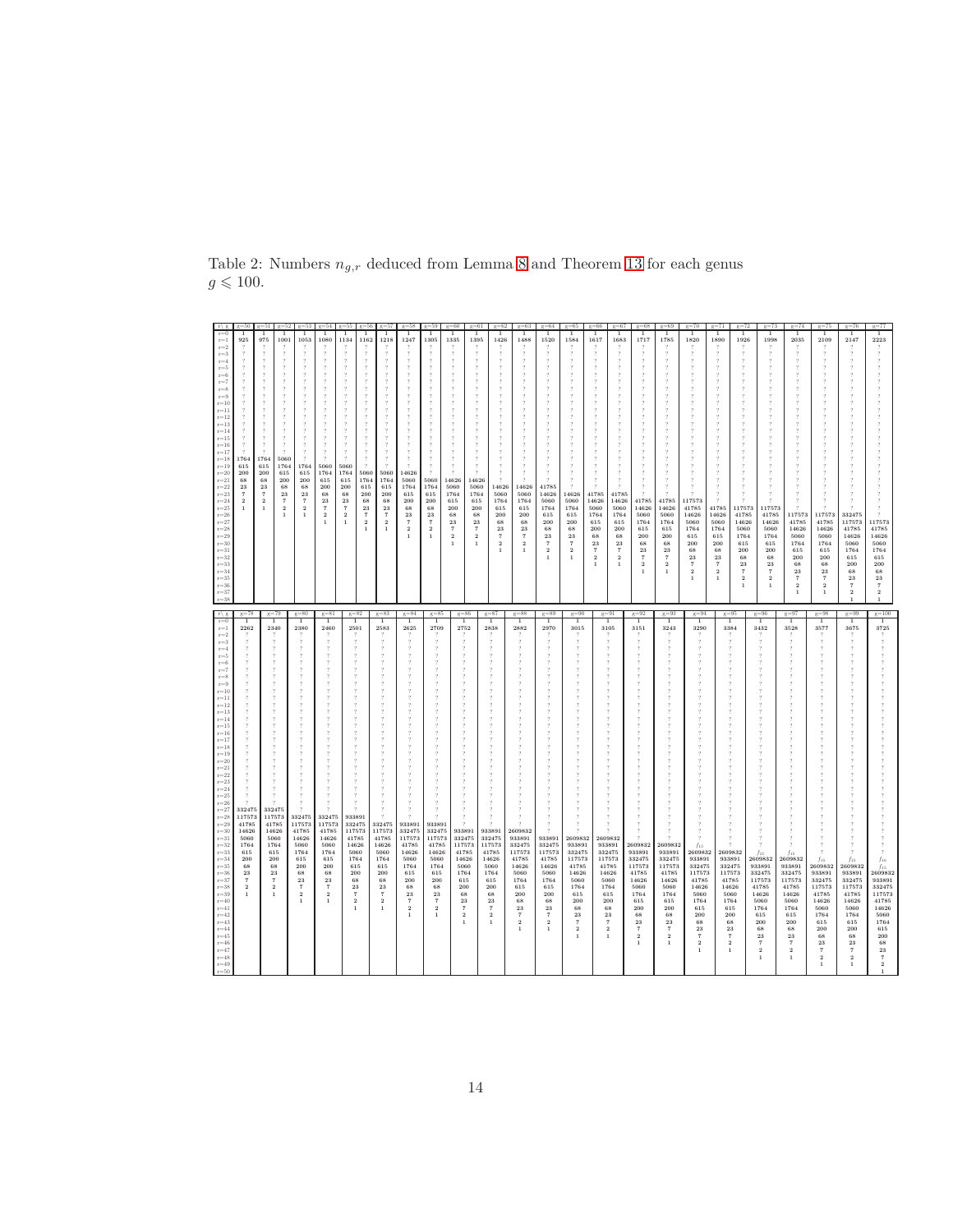|                                                                                                                                                                                                                                                                                                                                                                                                                                                                                                                                                                                                                      |                                                                                                                                      |                                                                                                                                      | $-52$                                                                                               |                                                                                                                               |                                                                                                                                           |                                                                                                                                                  |                                                                                                                  |                                                                                                                                                   |                                                                                                                                                       |                                                                                                                                           | e=60                                                                                                                                                                                                                                              | $\sigma = 61$                                                                                                                                                            | $\sigma = 62$<br>$\sigma = 63$                                                                                                                                                                                                         | $\sigma = 64$                                                                                                                                          | e=65                                                                                                                                                   | $0 = 66$                                                                                                                                             | $\sigma = 67$<br>$\sigma = 68$                                                                                                                                                                                                                                                                                                            | $0 = 69$                                                                                                                                            | $g=70$                                                                                                                                                                                                          | $\sigma = 71$                                                                                                                                                                                                 | $\sigma = 72$                                                                                                                                                                        | $\sigma = 74$<br>$\sigma = 73$                                                                                                                                                                                                                                                                          | $\sigma = 75$                                                                                                                                                                                                 | $g = 76$                                                                                                                                                                             | $\sigma = 77$                                                                                                                                                                 |
|----------------------------------------------------------------------------------------------------------------------------------------------------------------------------------------------------------------------------------------------------------------------------------------------------------------------------------------------------------------------------------------------------------------------------------------------------------------------------------------------------------------------------------------------------------------------------------------------------------------------|--------------------------------------------------------------------------------------------------------------------------------------|--------------------------------------------------------------------------------------------------------------------------------------|-----------------------------------------------------------------------------------------------------|-------------------------------------------------------------------------------------------------------------------------------|-------------------------------------------------------------------------------------------------------------------------------------------|--------------------------------------------------------------------------------------------------------------------------------------------------|------------------------------------------------------------------------------------------------------------------|---------------------------------------------------------------------------------------------------------------------------------------------------|-------------------------------------------------------------------------------------------------------------------------------------------------------|-------------------------------------------------------------------------------------------------------------------------------------------|---------------------------------------------------------------------------------------------------------------------------------------------------------------------------------------------------------------------------------------------------|--------------------------------------------------------------------------------------------------------------------------------------------------------------------------|----------------------------------------------------------------------------------------------------------------------------------------------------------------------------------------------------------------------------------------|--------------------------------------------------------------------------------------------------------------------------------------------------------|--------------------------------------------------------------------------------------------------------------------------------------------------------|------------------------------------------------------------------------------------------------------------------------------------------------------|-------------------------------------------------------------------------------------------------------------------------------------------------------------------------------------------------------------------------------------------------------------------------------------------------------------------------------------------|-----------------------------------------------------------------------------------------------------------------------------------------------------|-----------------------------------------------------------------------------------------------------------------------------------------------------------------------------------------------------------------|---------------------------------------------------------------------------------------------------------------------------------------------------------------------------------------------------------------|--------------------------------------------------------------------------------------------------------------------------------------------------------------------------------------|---------------------------------------------------------------------------------------------------------------------------------------------------------------------------------------------------------------------------------------------------------------------------------------------------------|---------------------------------------------------------------------------------------------------------------------------------------------------------------------------------------------------------------|--------------------------------------------------------------------------------------------------------------------------------------------------------------------------------------|-------------------------------------------------------------------------------------------------------------------------------------------------------------------------------|
| $r=0$<br>$r = 1$<br>$r = 2$<br>$r = 3$<br>$r = 4$<br>$r = 5$<br>$r = 6$<br>$r = 7$<br>$r = 8$<br>$r = 9$<br>$r=10$<br>$r = 11$<br>$r=12$<br>$r=13$<br>$r = 14$<br>$r = 15$<br>$r=16$<br>$r=17$<br>$r=18$<br>$r = 19$<br>$r=20$<br>$r = 21$<br>$r=22$<br>$r = 23$<br>$r = 24$<br>$\mathrm{r}{=}25$<br>$r = 26$<br>$r = 27$<br>$r = 28$<br>$r = 29$<br>$r = 30$<br>$r = 31$<br>$r = 32$<br>$r = 33$<br>$r = 34$<br>$r = 35$<br>$r = 36$<br>$r = 37$<br>$r = 38$<br>$r \mid g$                                                                                                                                          | 925<br>1764<br>615<br>200<br>68<br>23<br>$\overline{7}$<br>$\overline{2}$<br>$\,1\,$<br>$g=78$                                       | 975<br>1764<br>615<br>200<br>68<br>23<br>$\overline{7}$<br>$\overline{2}$<br>$\,1\,$                                                 | 1001<br>5060<br>1764<br>615<br>200<br>68<br>23<br>$\scriptstyle{7}$<br>$\,2\,$<br>$\,1\,$<br>$g=79$ | 1053<br>1764<br>615<br>$\bf 200$<br>68<br>23<br>$\scriptstyle\rm 7$<br>$\,2\,$<br>$\,1\,$<br>$g = 80$                         | 1080<br>5060<br>1764<br>615<br>200<br>68<br>23<br>$\scriptstyle{7}$<br>$\,2\,$<br>$\mathbf{1}$<br>$g=81$                                  | 1134<br>5060<br>1764<br>615<br>200<br>68<br>23<br>$\scriptstyle{7}$<br>$\,2\,$<br>$\overline{1}$                                                 | 1162<br>5060<br>1764<br>615<br>200<br>68<br>$\bf 23$<br>$\scriptstyle\rm 7$<br>$\,2\,$<br>$\mathbf{1}$<br>$g=82$ | 1218<br>$\gamma$<br>$\gamma$<br>$\overline{2}$<br>5060<br>1764<br>615<br>200<br>68<br>$\bf 23$<br>$\scriptstyle{7}$<br>$\,2$<br>$\,1\,$<br>$g=83$ | 1247<br>14626<br>5060<br>1764<br>615<br>200<br>68<br>$\bf 23$<br>$\scriptstyle{7}$<br>$\,2\,$<br>$\overline{1}$<br>$g = 84$                           | 1305<br>5060<br>1764<br>615<br>200<br>68<br>$\bf 23$<br>$\scriptstyle{7}$<br>$\,2\,$<br>$\overline{1}$<br>$g=85$                          | 1335<br>$\,$<br>$\,$<br>$\overline{?}$<br>$\overline{?}$<br>$\overline{?}$<br>$\overline{?}$<br>$\overline{\mathbf{z}}$<br>14626<br>5060<br>1764<br>615<br>$\bf 200$<br>68<br>$\bf 23$<br>$\overline{7}$<br>$\overline{2}$<br>$\,1\,$<br>$g = 86$ | 1395<br>14626<br>5060<br>1764<br>615<br>200<br>68<br>$\bf 23$<br>$\overline{7}$<br>$\overline{2}$<br>$\mathbf{1}$<br>$g = 87$                                            | 1426<br>1488<br>14626<br>14626<br>5060<br>5060<br>1764<br>1764<br>615<br>615<br>200<br>200<br>$_{\rm 68}$<br>68<br>23<br>$\bf 23$<br>$\tau$<br>$\scriptstyle\rm 7$<br>$\,2\,$<br>$\overline{2}$<br>$\mathbf{1}$<br>$\,1\,$<br>$g = 88$ | 1520<br>41785<br>14626<br>5060<br>1764<br>615<br>200<br>68<br>23<br>$\overline{7}$<br>$\,2\,$<br>$g = 89$                                              | 1584<br>7<br>$\overline{?}$<br>14626<br>5060<br>1764<br>615<br>$\,200$<br>68<br>$\bf 23$<br>$\scriptstyle{7}$<br>$\,2\,$<br>$\,1\,$<br>$g=90$          | 1617<br>41785<br>14626<br>5060<br>1764<br>615<br>200<br>68<br>23<br>$\scriptstyle\rm 7$<br>$\,2\,$<br>$\mathbf{1}$<br>$g=91$                         | 1683<br>1717<br>$\overline{2}$<br>$\overline{\phantom{a}}$<br>$\gamma$<br>$\overline{2}$<br>$\overline{?}$<br>41785<br>14626<br>41785<br>5060<br>14626<br>1764<br>5060<br>1764<br>615<br>200<br>615<br>68<br>200<br>23<br>68<br>$\scriptstyle{7}$<br>$\bf 23$<br>$\,2\,$<br>$\scriptstyle{7}$<br>$\,2$<br>$1\,$<br>$\mathbf{1}$<br>$g=92$ | 1785<br>41785<br>14626<br>5060<br>1764<br>615<br>200<br>68<br>$\bf 23$<br>$\scriptstyle{7}$<br>$\,2$<br>$\mathbf{1}$<br>$g=93$                      | 1820<br>$\boldsymbol{\eta}$<br>$\overline{?}$<br>$\overline{\mathcal{L}}$<br>117573<br>41785<br>14626<br>5060<br>1764<br>615<br>200<br>68<br>$\bf 23$<br>$\scriptstyle{7}$<br>$\,2\,$<br>$\mathbf{1}$<br>$g=94$ | 1890<br>41785<br>14626<br>5060<br>1764<br>615<br>200<br>68<br>23<br>$\scriptstyle{7}$<br>$\overline{2}$<br>$\mathbf{1}$<br>$g=95$                                                                             | 1926<br>117573<br>41785<br>14626<br>5060<br>1764<br>615<br>200<br>68<br>$\bf 23$<br>$\overline{7}$<br>$\overline{2}$<br>$\mathbf{1}$<br>$g = 96$                                     | 1998<br>2035<br>117573<br>41785<br>117573<br>41785<br>14626<br>14626<br>5060<br>1764<br>5060<br>615<br>1764<br>200<br>615<br>200<br>68<br>$\bf{^{23}}$<br>$_{\rm 68}$<br>$\bf 23$<br>$\overline{7}$<br>$\overline{2}$<br>$\overline{7}$<br>$\overline{2}$<br>$\mathbf{1}$<br>$\overline{1}$<br>$g = 97$ | 2109<br>117573<br>41785<br>14626<br>5060<br>1764<br>615<br>200<br>68<br>23<br>$\mathbf{7}$<br>$\overline{2}$<br>$\mathbf{1}$<br>$g = 98$                                                                      | 2147<br>332475<br>117573<br>41785<br>14626<br>5060<br>1764<br>615<br>200<br>68<br>23<br>$\overline{7}$<br>$\overline{2}$<br>$\mathbf{1}$<br>$g = 99$                                 | 2223<br>117573<br>41785<br>14626<br>5060<br>1764<br>615<br>200<br>68<br>23<br>$\overline{7}$<br>$\overline{2}$<br>$\,$ 1 $\,$<br>$g = 100$                                    |
| $r=0$<br>$r = 1$<br>$\mathrm{r}{=}2$<br>$r = 3$<br>$r = 4$<br>$r=5$<br>$r = 6$<br>$r = 7$<br>$r = 8$<br>$r = 9$<br>$r=10$<br>$r = 11$<br>$r=12$<br>$r=13$<br>$r = 14$<br>$r = 15$<br>$r = 16$<br>$r=17$<br>$r=18$<br>$r=19$<br>$r = 20$<br>$r = 21$<br>$r=22$<br>$r = 23$<br>$r = 24$<br>$r = 25$<br>$r = 26$<br>$\mathrm{r}{=}27$<br>$r=28$<br>$r = 29$<br>$r = 30$<br>$r = 31$<br>$r = 32$<br>$r = 33$<br>$r = 34$<br>$r = 35$<br>$r = 36$<br>$r = 37$<br>$r = 38$<br>$r = 39$<br>$r = 40$<br>$r = 41$<br>$r = 42$<br>$r = 43$<br>$r = 44$<br>$r = 45$<br>$r = 46$<br>$r = 47$<br>$r = 48$<br>$r = 49$<br>$r = 50$ | 2262<br>332475<br>117573<br>41785<br>14626<br>5060<br>1764<br>615<br>200<br>68<br>23<br>$\scriptstyle{7}$<br>$\,2\,$<br>$\mathbf{1}$ | 2340<br>332475<br>117573<br>41785<br>14626<br>5060<br>1764<br>615<br>200<br>$_{\rm 68}$<br>$\bf 23$<br>$\frac{7}{2}$<br>$\mathbf{1}$ |                                                                                                     | 2380<br>332475<br>117573<br>41785<br>14626<br>5060<br>1764<br>615<br>$\,200$<br>68<br>$\frac{23}{7}$<br>$\,2$<br>$\mathbf{1}$ | 2460<br>332475<br>117573<br>41785<br>14626<br>5060<br>1764<br>615<br>$\,200$<br>68<br>$\bf 23$<br>$\scriptstyle{7}$<br>$\,2\,$<br>$\,1\,$ | 2501<br>933891<br>332475<br>117573<br>41785<br>14626<br>5060<br>1764<br>615<br>200<br>68<br>23<br>$\scriptstyle\rm 7$<br>$\,2\,$<br>$\mathbf{1}$ |                                                                                                                  | 2583<br>332475<br>117573<br>41785<br>14626<br>5060<br>1764<br>615<br>200<br>68<br>23<br>$\scriptstyle{7}$<br>$\,2\,$<br>$\mathbf{1}$              | 1<br>2625<br>933891<br>332475<br>117573<br>41785<br>14626<br>5060<br>1764<br>615<br>200<br>68<br>$\bf 23$<br>$\tau$<br>$\overline{2}$<br>$\mathbf{1}$ | 2709<br>933891<br>332475<br>117573<br>41785<br>14626<br>5060<br>1764<br>615<br>200<br>68<br>$\bf 23$<br>$\tau$<br>$\,2\,$<br>$\mathbf{1}$ | 2752<br>933891<br>332475<br>117573<br>41785<br>14626<br>5060<br>1764<br>615<br>200<br>68<br>$\bf 23$<br>$\overline{7}$<br>$\overline{2}$<br>$\overline{1}$                                                                                        | 2838<br>$\overline{\mathbf{?}}$<br>933891<br>332475<br>117573<br>41785<br>14626<br>5060<br>1764<br>615<br>200<br>68<br>23<br>$\overline{7}$<br>$\overline{2}$<br>$\,1\,$ | 2882<br>$\overline{\mathbf{z}}$<br>2609832<br>933891<br>332475<br>117573<br>41785<br>14626<br>5060<br>1764<br>615<br>200<br>68<br>23<br>$\overline{7}$<br>$\,2\,$<br>$\mathbf{1}$                                                      | 2970<br>933891<br>332475<br>117573<br>41785<br>14626<br>5060<br>1764<br>615<br>200<br>68<br>23<br>$\overline{7}$<br>$\overline{\mathbf{2}}$<br>$\,1\,$ | 3015<br>2609832<br>933891<br>332475<br>117573<br>41785<br>14626<br>5060<br>1764<br>615<br>200<br>68<br>23<br>$\scriptstyle{7}$<br>$\,2$<br>$\mathbf 1$ | 3105<br>2609832<br>933891<br>332475<br>117573<br>41785<br>14626<br>5060<br>1764<br>615<br>200<br>68<br>23<br>$\scriptstyle{7}$<br>$\,2\,$<br>$\,1\,$ | 1<br>3151<br>2609832<br>933891<br>332475<br>117573<br>41785<br>14626<br>5060<br>1764<br>615<br>200<br>68<br>$\bf 23$<br>$\scriptstyle{7}$<br>$\,2\,$<br>$\,1\,$                                                                                                                                                                           | 3243<br>2609832<br>933891<br>332475<br>117573<br>41785<br>14626<br>5060<br>1764<br>615<br>200<br>68<br>23<br>$\scriptstyle{7}$<br>$\,2\,$<br>$\,$ 1 | 3290<br>2609832<br>933891<br>332475<br>117573<br>41785<br>14626<br>5060<br>1764<br>615<br>200<br>68<br>$\bf 23$<br>$\scriptstyle{7}$<br>$\,2$<br>$\mathbf{1}$                                                   | 3384<br>$\overline{\phantom{a}}$<br>$\overline{2}$<br>2609832<br>933891<br>332475<br>117573<br>41785<br>14626<br>5060<br>1764<br>615<br>200<br>68<br>$\bf 23$<br>$\scriptstyle{7}$<br>$\,2\,$<br>$\mathbf{1}$ | 3432<br>$f_{15}$<br>2609832<br>933891<br>332475<br>117573<br>41785<br>14626<br>5060<br>1764<br>615<br>200<br>$_{\rm 68}$<br>$\bf 23$<br>$\scriptstyle{7}$<br>$\,2\,$<br>$\mathbf{1}$ | 1<br>3528<br>$f_{15}$<br>2609832<br>933891<br>332475<br>117573<br>41785<br>14626<br>5060<br>1764<br>615<br>200<br>$_{\rm 68}$<br>23<br>$\scriptstyle{7}$<br>$\,2\,$<br>$\mathbf{1}$                                                                                                                     | 1<br>3577<br>$\overline{?}$<br>$f_{15}$<br>2609832<br>933891<br>332475<br>117573<br>41785<br>14626<br>5060<br>1764<br>615<br>$\bf 200$<br>68<br>$\bf 23$<br>$\scriptstyle{7}$<br>$\mathbf{2}$<br>$\mathbf{1}$ | 3675<br>$f_{15}$<br>2609832<br>933891<br>332475<br>117573<br>41785<br>14626<br>5060<br>1764<br>615<br>200<br>68<br>$\bf 23$<br>$\scriptstyle\rm T$<br>$\overline{2}$<br>$\mathbf{1}$ | 1<br>3725<br>$f_{15}$<br>2609832<br>933891<br>332475<br>117573<br>41785<br>14626<br>5060<br>1764<br>615<br>200<br>$_{\rm 68}$<br>$\bf 23$<br>$\overline{7}$<br>$\overline{2}$ |

<span id="page-13-0"></span>Table 2: Numbers  $n_{g,r}$  deduced from Lemma [8](#page-5-0) and Theorem [13](#page-8-0) for each genus  $g \leqslant 100$ .